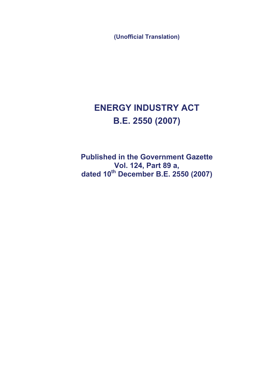**(Unofficial Translation)**

# **ENERGY INDUSTRY ACT B.E. 2550 (2007)**

**Published in the Government Gazette Vol. 124, Part 89 a, dated 10th December B.E. 2550 (2007)**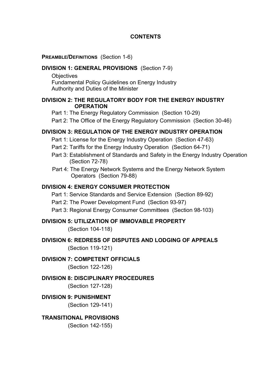## **CONTENTS**

#### **PREAMBLE/DEFINITIONS** (Section 1-6)

#### **DIVISION 1: GENERAL PROVISIONS** (Section 7-9)

**Objectives**  Fundamental Policy Guidelines on Energy Industry Authority and Duties of the Minister

## **DIVISION 2: THE REGULATORY BODY FOR THE ENERGY INDUSTRY OPERATION**

Part 1: The Energy Regulatory Commission (Section 10-29)

Part 2: The Office of the Energy Regulatory Commission (Section 30-46)

## **DIVISION 3: REGULATION OF THE ENERGY INDUSTRY OPERATION**

Part 1: License for the Energy Industry Operation (Section 47-63)

- Part 2: Tariffs for the Energy Industry Operation (Section 64-71)
- Part 3: Establishment of Standards and Safety in the Energy Industry Operation (Section 72-78)
- Part 4: The Energy Network Systems and the Energy Network System Operators (Section 79-88)

## **DIVISION 4: ENERGY CONSUMER PROTECTION**

- Part 1: Service Standards and Service Extension (Section 89-92)
- Part 2: The Power Development Fund (Section 93-97)

Part 3: Regional Energy Consumer Committees (Section 98-103)

## **DIVISION 5: UTILIZATION OF IMMOVABLE PROPERTY**

(Section 104-118)

**DIVISION 6: REDRESS OF DISPUTES AND LODGING OF APPEALS**  (Section 119-121)

## **DIVISION 7: COMPETENT OFFICIALS**

(Section 122-126)

## **DIVISION 8: DISCIPLINARY PROCEDURES**

(Section 127-128)

**DIVISION 9: PUNISHMENT** 

(Section 129-141)

## **TRANSITIONAL PROVISIONS**

(Section 142-155)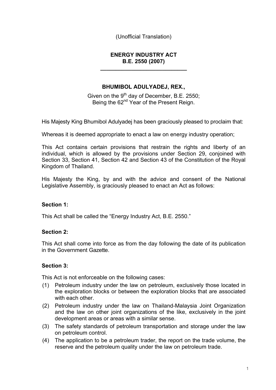(Unofficial Translation)

## **ENERGY INDUSTRY ACT B.E. 2550 (2007)**

**\_\_\_\_\_\_\_\_\_\_\_\_\_\_\_\_\_\_\_\_\_\_\_\_\_\_\_\_** 

## **BHUMIBOL ADULYADEJ, REX.,**

Given on the  $9<sup>th</sup>$  day of December, B.E. 2550; Being the 62<sup>nd</sup> Year of the Present Reign.

His Majesty King Bhumibol Adulyadej has been graciously pleased to proclaim that:

Whereas it is deemed appropriate to enact a law on energy industry operation;

This Act contains certain provisions that restrain the rights and liberty of an individual, which is allowed by the provisions under Section 29, conjoined with Section 33, Section 41, Section 42 and Section 43 of the Constitution of the Royal Kingdom of Thailand.

His Majesty the King, by and with the advice and consent of the National Legislative Assembly, is graciously pleased to enact an Act as follows:

## **Section 1:**

This Act shall be called the "Energy Industry Act, B.E. 2550."

## **Section 2:**

This Act shall come into force as from the day following the date of its publication in the Government Gazette.

## **Section 3:**

This Act is not enforceable on the following cases:

- (1) Petroleum industry under the law on petroleum, exclusively those located in the exploration blocks or between the exploration blocks that are associated with each other.
- (2) Petroleum industry under the law on Thailand-Malaysia Joint Organization and the law on other joint organizations of the like, exclusively in the joint development areas or areas with a similar sense.
- (3) The safety standards of petroleum transportation and storage under the law on petroleum control.
- (4) The application to be a petroleum trader, the report on the trade volume, the reserve and the petroleum quality under the law on petroleum trade.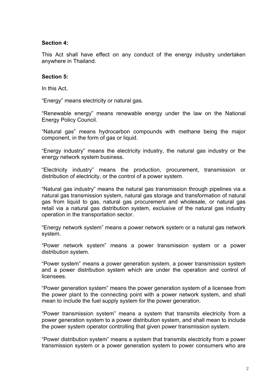#### **Section 4:**

This Act shall have effect on any conduct of the energy industry undertaken anywhere in Thailand.

#### **Section 5:**

In this Act,

"Energy" means electricity or natural gas.

"Renewable energy" means renewable energy under the law on the National Energy Policy Council.

"Natural gas" means hydrocarbon compounds with methane being the major component, in the form of gas or liquid.

"Energy industry" means the electricity industry, the natural gas industry or the energy network system business.

"Electricity industry" means the production, procurement, transmission or distribution of electricity, or the control of a power system.

"Natural gas industry" means the natural gas transmission through pipelines via a natural gas transmission system, natural gas storage and transformation of natural gas from liquid to gas, natural gas procurement and wholesale, or natural gas retail via a natural gas distribution system, exclusive of the natural gas industry operation in the transportation sector.

"Energy network system" means a power network system or a natural gas network system.

"Power network system" means a power transmission system or a power distribution system.

"Power system" means a power generation system, a power transmission system and a power distribution system which are under the operation and control of licensees.

"Power generation system" means the power generation system of a licensee from the power plant to the connecting point with a power network system, and shall mean to include the fuel supply system for the power generation.

"Power transmission system" means a system that transmits electricity from a power generation system to a power distribution system, and shall mean to include the power system operator controlling that given power transmission system.

"Power distribution system" means a system that transmits electricity from a power transmission system or a power generation system to power consumers who are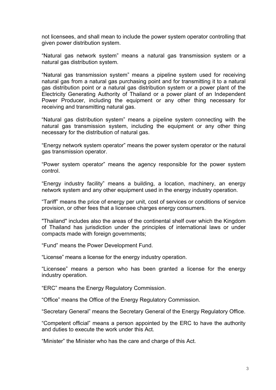not licensees, and shall mean to include the power system operator controlling that given power distribution system.

"Natural gas network system" means a natural gas transmission system or a natural gas distribution system.

"Natural gas transmission system" means a pipeline system used for receiving natural gas from a natural gas purchasing point and for transmitting it to a natural gas distribution point or a natural gas distribution system or a power plant of the Electricity Generating Authority of Thailand or a power plant of an Independent Power Producer, including the equipment or any other thing necessary for receiving and transmitting natural gas.

"Natural gas distribution system" means a pipeline system connecting with the natural gas transmission system, including the equipment or any other thing necessary for the distribution of natural gas.

"Energy network system operator" means the power system operator or the natural gas transmission operator.

"Power system operator" means the agency responsible for the power system control.

"Energy industry facility" means a building, a location, machinery, an energy network system and any other equipment used in the energy industry operation.

"Tariff" means the price of energy per unit, cost of services or conditions of service provision, or other fees that a licensee charges energy consumers.

"Thailand" includes also the areas of the continental shelf over which the Kingdom of Thailand has jurisdiction under the principles of international laws or under compacts made with foreign governments;

"Fund" means the Power Development Fund.

"License" means a license for the energy industry operation.

"Licensee" means a person who has been granted a license for the energy industry operation.

"ERC" means the Energy Regulatory Commission.

"Office" means the Office of the Energy Regulatory Commission.

"Secretary General" means the Secretary General of the Energy Regulatory Office.

"Competent official" means a person appointed by the ERC to have the authority and duties to execute the work under this Act.

"Minister" the Minister who has the care and charge of this Act.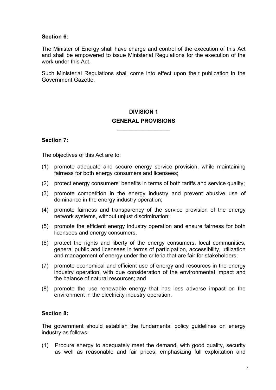## **Section 6:**

The Minister of Energy shall have charge and control of the execution of this Act and shall be empowered to issue Ministerial Regulations for the execution of the work under this Act.

Such Ministerial Regulations shall come into effect upon their publication in the Government Gazette.

## **DIVISION 1 GENERAL PROVISIONS \_\_\_\_\_\_\_\_\_\_\_\_\_\_\_\_\_**

## **Section 7:**

The objectives of this Act are to:

- (1) promote adequate and secure energy service provision, while maintaining fairness for both energy consumers and licensees;
- (2) protect energy consumers' benefits in terms of both tariffs and service quality;
- (3) promote competition in the energy industry and prevent abusive use of dominance in the energy industry operation;
- (4) promote fairness and transparency of the service provision of the energy network systems, without unjust discrimination;
- (5) promote the efficient energy industry operation and ensure fairness for both licensees and energy consumers;
- (6) protect the rights and liberty of the energy consumers, local communities, general public and licensees in terms of participation, accessibility, utilization and management of energy under the criteria that are fair for stakeholders;
- (7) promote economical and efficient use of energy and resources in the energy industry operation, with due consideration of the environmental impact and the balance of natural resources; and
- (8) promote the use renewable energy that has less adverse impact on the environment in the electricity industry operation.

## **Section 8:**

The government should establish the fundamental policy guidelines on energy industry as follows:

(1) Procure energy to adequately meet the demand, with good quality, security as well as reasonable and fair prices, emphasizing full exploitation and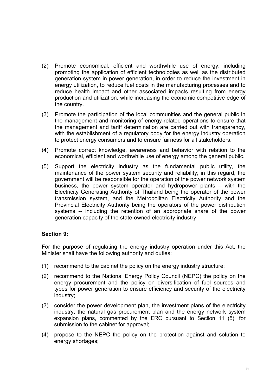- (2) Promote economical, efficient and worthwhile use of energy, including promoting the application of efficient technologies as well as the distributed generation system in power generation, in order to reduce the investment in energy utilization, to reduce fuel costs in the manufacturing processes and to reduce health impact and other associated impacts resulting from energy production and utilization, while increasing the economic competitive edge of the country.
- (3) Promote the participation of the local communities and the general public in the management and monitoring of energy-related operations to ensure that the management and tariff determination are carried out with transparency, with the establishment of a regulatory body for the energy industry operation to protect energy consumers and to ensure fairness for all stakeholders.
- (4) Promote correct knowledge, awareness and behavior with relation to the economical, efficient and worthwhile use of energy among the general public.
- (5) Support the electricity industry as the fundamental public utility, the maintenance of the power system security and reliability; in this regard, the government will be responsible for the operation of the power network system business, the power system operator and hydropower plants – with the Electricity Generating Authority of Thailand being the operator of the power transmission system, and the Metropolitan Electricity Authority and the Provincial Electricity Authority being the operators of the power distribution systems -- including the retention of an appropriate share of the power generation capacity of the state-owned electricity industry.

## **Section 9:**

For the purpose of regulating the energy industry operation under this Act, the Minister shall have the following authority and duties:

- (1) recommend to the cabinet the policy on the energy industry structure;
- (2) recommend to the National Energy Policy Council (NEPC) the policy on the energy procurement and the policy on diversification of fuel sources and types for power generation to ensure efficiency and security of the electricity industry;
- (3) consider the power development plan, the investment plans of the electricity industry, the natural gas procurement plan and the energy network system expansion plans, commented by the ERC pursuant to Section 11 (5), for submission to the cabinet for approval;
- (4) propose to the NEPC the policy on the protection against and solution to energy shortages;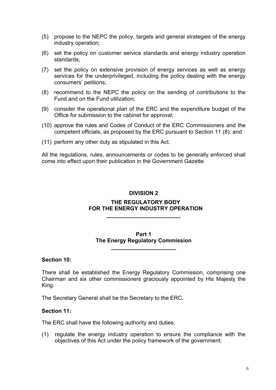- (5) propose to the NEPC the policy, targets and general strategies of the energy industry operation;
- (6) set the policy on customer service standards and energy industry operation standards;
- (7) set the policy on extensive provision of energy services as well as energy services for the underprivileged, including the policy dealing with the energy consumers' petitions;
- (8) recommend to the NEPC the policy on the sending of contributions to the Fund and on the Fund utilization;
- (9) consider the operational plan of the ERC and the expenditure budget of the Office for submission to the cabinet for approval;
- (10) approve the rules and Codes of Conduct of the ERC Commissioners and the competent officials, as proposed by the ERC pursuant to Section 11 (8); and
- (11) perform any other duty as stipulated in this Act.

All the regulations, rules, announcements or codes to be generally enforced shall come into effect upon their publication in the Government Gazette.

#### **DIVISION 2**

#### **THE REGULATORY BODY FOR THE ENERGY INDUSTRY OPERATION**

**\_\_\_\_\_\_\_\_\_\_\_\_\_\_\_\_\_\_\_\_\_\_\_\_** 

#### **Part 1 The Energy Regulatory Commission**

**\_\_\_\_\_\_\_\_\_\_\_\_\_\_\_\_\_\_\_\_\_** 

#### **Section 10:**

There shall be established the Energy Regulatory Commission, comprising one Chairman and six other commissioners graciously appointed by His Majesty the King.

The Secretary General shall be the Secretary to the ERC.

#### **Section 11:**

The ERC shall have the following authority and duties:

(1) regulate the energy industry operation to ensure the compliance with the objectives of this Act under the policy framework of the government;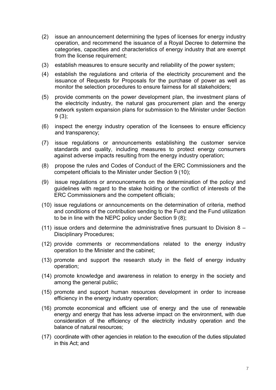- (2) issue an announcement determining the types of licenses for energy industry operation, and recommend the issuance of a Royal Decree to determine the categories, capacities and characteristics of energy industry that are exempt from the license requirement;
- (3) establish measures to ensure security and reliability of the power system;
- (4) establish the regulations and criteria of the electricity procurement and the issuance of Requests for Proposals for the purchase of power as well as monitor the selection procedures to ensure fairness for all stakeholders;
- (5) provide comments on the power development plan, the investment plans of the electricity industry, the natural gas procurement plan and the energy network system expansion plans for submission to the Minister under Section 9 (3);
- (6) inspect the energy industry operation of the licensees to ensure efficiency and transparency;
- (7) issue regulations or announcements establishing the customer service standards and quality, including measures to protect energy consumers against adverse impacts resulting from the energy industry operation;
- (8) propose the rules and Codes of Conduct of the ERC Commissioners and the competent officials to the Minister under Section 9 (10);
- (9) issue regulations or announcements on the determination of the policy and guidelines with regard to the stake holding or the conflict of interests of the ERC Commissioners and the competent officials;
- (10) issue regulations or announcements on the determination of criteria, method and conditions of the contribution sending to the Fund and the Fund utilization to be in line with the NEPC policy under Section 9 (8);
- (11) issue orders and determine the administrative fines pursuant to Division 8 Disciplinary Procedures;
- (12) provide comments or recommendations related to the energy industry operation to the Minister and the cabinet;
- (13) promote and support the research study in the field of energy industry operation;
- (14) promote knowledge and awareness in relation to energy in the society and among the general public;
- (15) promote and support human resources development in order to increase efficiency in the energy industry operation;
- (16) promote economical and efficient use of energy and the use of renewable energy and energy that has less adverse impact on the environment, with due consideration of the efficiency of the electricity industry operation and the balance of natural resources;
- (17) coordinate with other agencies in relation to the execution of the duties stipulated in this Act; and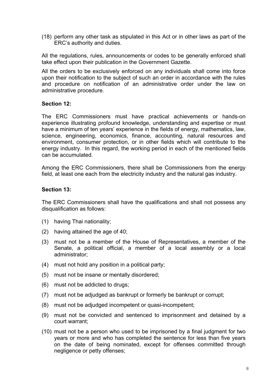(18) perform any other task as stipulated in this Act or in other laws as part of the ERC's authority and duties.

All the regulations, rules, announcements or codes to be generally enforced shall take effect upon their publication in the Government Gazette.

All the orders to be exclusively enforced on any individuals shall come into force upon their notification to the subject of such an order in accordance with the rules and procedure on notification of an administrative order under the law on administrative procedure.

## **Section 12:**

The ERC Commissioners must have practical achievements or hands-on experience illustrating profound knowledge, understanding and expertise or must have a minimum of ten years' experience in the fields of energy, mathematics, law, science, engineering, economics, finance, accounting, natural resources and environment, consumer protection, or in other fields which will contribute to the energy industry. In this regard, the working period in each of the mentioned fields can be accumulated.

Among the ERC Commissioners, there shall be Commissioners from the energy field, at least one each from the electricity industry and the natural gas industry.

## **Section 13:**

The ERC Commissioners shall have the qualifications and shall not possess any disqualification as follows:

- (1) having Thai nationality;
- (2) having attained the age of 40;
- (3) must not be a member of the House of Representatives, a member of the Senate, a political official, a member of a local assembly or a local administrator;
- (4) must not hold any position in a political party;
- (5) must not be insane or mentally disordered;
- (6) must not be addicted to drugs;
- (7) must not be adjudged as bankrupt or formerly be bankrupt or corrupt;
- (8) must not be adjudged incompetent or quasi-incompetent;
- (9) must not be convicted and sentenced to imprisonment and detained by a court warrant;
- (10) must not be a person who used to be imprisoned by a final judgment for two years or more and who has completed the sentence for less than five years on the date of being nominated, except for offenses committed through negligence or petty offenses;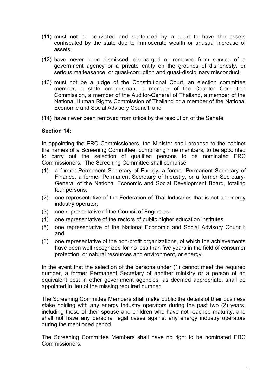- (11) must not be convicted and sentenced by a court to have the assets confiscated by the state due to immoderate wealth or unusual increase of assets;
- (12) have never been dismissed, discharged or removed from service of a government agency or a private entity on the grounds of dishonesty, or serious malfeasance, or quasi-corruption and quasi-disciplinary misconduct;
- (13) must not be a judge of the Constitutional Court, an election committee member, a state ombudsman, a member of the Counter Corruption Commission, a member of the Auditor-General of Thailand, a member of the National Human Rights Commission of Thailand or a member of the National Economic and Social Advisory Council; and
- (14) have never been removed from office by the resolution of the Senate.

### **Section 14:**

In appointing the ERC Commissioners, the Minister shall propose to the cabinet the names of a Screening Committee, comprising nine members, to be appointed to carry out the selection of qualified persons to be nominated ERC Commissioners. The Screening Committee shall comprise:

- (1) a former Permanent Secretary of Energy, a former Permanent Secretary of Finance, a former Permanent Secretary of Industry, or a former Secretary-General of the National Economic and Social Development Board, totaling four persons;
- (2) one representative of the Federation of Thai Industries that is not an energy industry operator;
- (3) one representative of the Council of Engineers;
- (4) one representative of the rectors of public higher education institutes;
- (5) one representative of the National Economic and Social Advisory Council; and
- (6) one representative of the non-profit organizations, of which the achievements have been well recognized for no less than five years in the field of consumer protection, or natural resources and environment, or energy.

In the event that the selection of the persons under (1) cannot meet the required number, a former Permanent Secretary of another ministry or a person of an equivalent post in other government agencies, as deemed appropriate, shall be appointed in lieu of the missing required number.

The Screening Committee Members shall make public the details of their business stake holding with any energy industry operators during the past two (2) years, including those of their spouse and children who have not reached maturity, and shall not have any personal legal cases against any energy industry operators during the mentioned period.

The Screening Committee Members shall have no right to be nominated ERC Commissioners.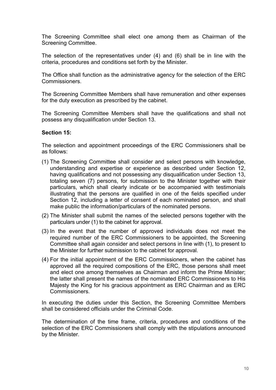The Screening Committee shall elect one among them as Chairman of the Screening Committee.

The selection of the representatives under (4) and (6) shall be in line with the criteria, procedures and conditions set forth by the Minister.

The Office shall function as the administrative agency for the selection of the ERC Commissioners.

The Screening Committee Members shall have remuneration and other expenses for the duty execution as prescribed by the cabinet.

The Screening Committee Members shall have the qualifications and shall not possess any disqualification under Section 13.

## **Section 15:**

The selection and appointment proceedings of the ERC Commissioners shall be as follows:

- (1) The Screening Committee shall consider and select persons with knowledge, understanding and expertise or experience as described under Section 12, having qualifications and not possessing any disqualification under Section 13, totaling seven (7) persons, for submission to the Minister together with their particulars, which shall clearly indicate or be accompanied with testimonials illustrating that the persons are qualified in one of the fields specified under Section 12, including a letter of consent of each nominated person, and shall make public the information/particulars of the nominated persons.
- (2) The Minister shall submit the names of the selected persons together with the particulars under (1) to the cabinet for approval.
- (3) In the event that the number of approved individuals does not meet the required number of the ERC Commissioners to be appointed, the Screening Committee shall again consider and select persons in line with (1), to present to the Minister for further submission to the cabinet for approval.
- (4) For the initial appointment of the ERC Commissioners, when the cabinet has approved all the required compositions of the ERC, those persons shall meet and elect one among themselves as Chairman and inform the Prime Minister; the latter shall present the names of the nominated ERC Commissioners to His Majesty the King for his gracious appointment as ERC Chairman and as ERC Commissioners.

In executing the duties under this Section, the Screening Committee Members shall be considered officials under the Criminal Code.

The determination of the time frame, criteria, procedures and conditions of the selection of the ERC Commissioners shall comply with the stipulations announced by the Minister.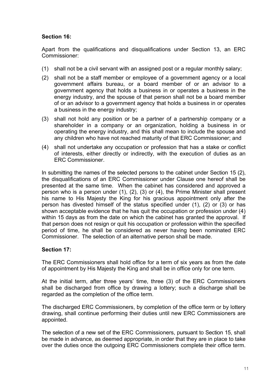## **Section 16:**

Apart from the qualifications and disqualifications under Section 13, an ERC Commissioner:

- (1) shall not be a civil servant with an assigned post or a regular monthly salary;
- (2) shall not be a staff member or employee of a government agency or a local government affairs bureau, or a board member of or an advisor to a government agency that holds a business in or operates a business in the energy industry, and the spouse of that person shall not be a board member of or an advisor to a government agency that holds a business in or operates a business in the energy industry;
- (3) shall not hold any position or be a partner of a partnership company or a shareholder in a company or an organization, holding a business in or operating the energy industry, and this shall mean to include the spouse and any children who have not reached maturity of that ERC Commissioner; and
- (4) shall not undertake any occupation or profession that has a stake or conflict of interests, either directly or indirectly, with the execution of duties as an ERC Commissioner.

In submitting the names of the selected persons to the cabinet under Section 15 (2), the disqualifications of an ERC Commissioner under Clause one hereof shall be presented at the same time. When the cabinet has considered and approved a person who is a person under (1), (2), (3) or (4), the Prime Minister shall present his name to His Majesty the King for his gracious appointment only after the person has divested himself of the status specified under (1), (2) or (3) or has shown acceptable evidence that he has quit the occupation or profession under (4) within 15 days as from the date on which the cabinet has granted the approval. If that person does not resign or quit his occupation or profession within the specified period of time, he shall be considered as never having been nominated ERC Commissioner. The selection of an alternative person shall be made.

## **Section 17:**

The ERC Commissioners shall hold office for a term of six years as from the date of appointment by His Majesty the King and shall be in office only for one term.

At the initial term, after three years' time, three (3) of the ERC Commissioners shall be discharged from office by drawing a lottery; such a discharge shall be regarded as the completion of the office term.

The discharged ERC Commissioners, by completion of the office term or by lottery drawing, shall continue performing their duties until new ERC Commissioners are appointed.

The selection of a new set of the ERC Commissioners, pursuant to Section 15, shall be made in advance, as deemed appropriate, in order that they are in place to take over the duties once the outgoing ERC Commissioners complete their office term.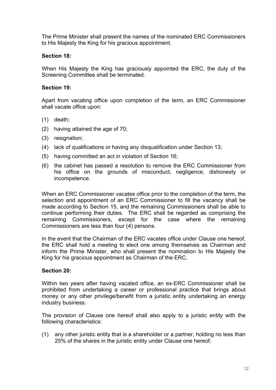The Prime Minister shall present the names of the nominated ERC Commissioners to His Majesty the King for his gracious appointment.

## **Section 18:**

When His Majesty the King has graciously appointed the ERC, the duty of the Screening Committee shall be terminated.

## **Section 19:**

Apart from vacating office upon completion of the term, an ERC Commissioner shall vacate office upon:

- (1) death;
- (2) having attained the age of 70;
- (3) resignation;
- (4) lack of qualifications or having any disqualification under Section 13;
- (5) having committed an act in violation of Section 16;
- (6) the cabinet has passed a resolution to remove the ERC Commissioner from his office on the grounds of misconduct, negligence, dishonesty or incompetence.

When an ERC Commissioner vacates office prior to the completion of the term, the selection and appointment of an ERC Commissioner to fill the vacancy shall be made according to Section 15, and the remaining Commissioners shall be able to continue performing their duties. The ERC shall be regarded as comprising the remaining Commissioners, except for the case where the remaining Commissioners are less than four (4) persons.

In the event that the Chairman of the ERC vacates office under Clause one hereof, the ERC shall hold a meeting to elect one among themselves as Chairman and inform the Prime Minister, who shall present the nomination to His Majesty the King for his gracious appointment as Chairman of the ERC.

## **Section 20:**

Within two years after having vacated office, an ex-ERC Commissioner shall be prohibited from undertaking a career or professional practice that brings about money or any other privilege/benefit from a juristic entity undertaking an energy industry business.

The provision of Clause one hereof shall also apply to a juristic entity with the following characteristics:

(1) any other juristic entity that is a shareholder or a partner, holding no less than 25% of the shares in the juristic entity under Clause one hereof;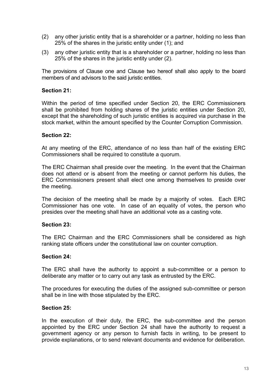- (2) any other juristic entity that is a shareholder or a partner, holding no less than 25% of the shares in the juristic entity under (1); and
- (3) any other juristic entity that is a shareholder or a partner, holding no less than 25% of the shares in the juristic entity under (2).

The provisions of Clause one and Clause two hereof shall also apply to the board members of and advisors to the said juristic entities.

#### **Section 21:**

Within the period of time specified under Section 20, the ERC Commissioners shall be prohibited from holding shares of the juristic entities under Section 20, except that the shareholding of such juristic entities is acquired via purchase in the stock market, within the amount specified by the Counter Corruption Commission.

#### **Section 22:**

At any meeting of the ERC, attendance of no less than half of the existing ERC Commissioners shall be required to constitute a quorum.

The ERC Chairman shall preside over the meeting. In the event that the Chairman does not attend or is absent from the meeting or cannot perform his duties, the ERC Commissioners present shall elect one among themselves to preside over the meeting.

The decision of the meeting shall be made by a majority of votes. Each ERC Commissioner has one vote. In case of an equality of votes, the person who presides over the meeting shall have an additional vote as a casting vote.

#### **Section 23:**

The ERC Chairman and the ERC Commissioners shall be considered as high ranking state officers under the constitutional law on counter corruption.

#### **Section 24:**

The ERC shall have the authority to appoint a sub-committee or a person to deliberate any matter or to carry out any task as entrusted by the ERC.

The procedures for executing the duties of the assigned sub-committee or person shall be in line with those stipulated by the ERC.

#### **Section 25:**

In the execution of their duty, the ERC, the sub-committee and the person appointed by the ERC under Section 24 shall have the authority to request a government agency or any person to furnish facts in writing, to be present to provide explanations, or to send relevant documents and evidence for deliberation.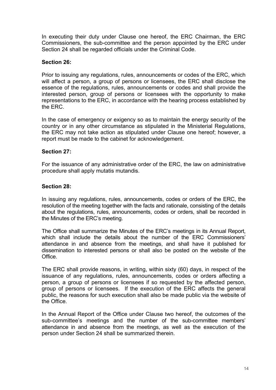In executing their duty under Clause one hereof, the ERC Chairman, the ERC Commissioners, the sub-committee and the person appointed by the ERC under Section 24 shall be regarded officials under the Criminal Code.

## **Section 26:**

Prior to issuing any regulations, rules, announcements or codes of the ERC, which will affect a person, a group of persons or licensees, the ERC shall disclose the essence of the regulations, rules, announcements or codes and shall provide the interested person, group of persons or licensees with the opportunity to make representations to the ERC, in accordance with the hearing process established by the ERC.

In the case of emergency or exigency so as to maintain the energy security of the country or in any other circumstance as stipulated in the Ministerial Regulations, the ERC may not take action as stipulated under Clause one hereof; however, a report must be made to the cabinet for acknowledgement.

## **Section 27:**

For the issuance of any administrative order of the ERC, the law on administrative procedure shall apply mutatis mutandis.

## **Section 28:**

In issuing any regulations, rules, announcements, codes or orders of the ERC, the resolution of the meeting together with the facts and rationale, consisting of the details about the regulations, rules, announcements, codes or orders, shall be recorded in the Minutes of the ERC's meeting.

The Office shall summarize the Minutes of the ERC's meetings in its Annual Report, which shall include the details about the number of the ERC Commissioners' attendance in and absence from the meetings, and shall have it published for dissemination to interested persons or shall also be posted on the website of the Office.

The ERC shall provide reasons, in writing, within sixty (60) days, in respect of the issuance of any regulations, rules, announcements, codes or orders affecting a person, a group of persons or licensees if so requested by the affected person, group of persons or licensees. If the execution of the ERC affects the general public, the reasons for such execution shall also be made public via the website of the Office.

In the Annual Report of the Office under Clause two hereof, the outcomes of the sub-committee's meetings and the number of the sub-committee members' attendance in and absence from the meetings, as well as the execution of the person under Section 24 shall be summarized therein.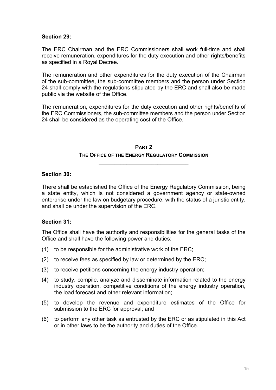#### **Section 29:**

The ERC Chairman and the ERC Commissioners shall work full-time and shall receive remuneration, expenditures for the duty execution and other rights/benefits as specified in a Royal Decree.

The remuneration and other expenditures for the duty execution of the Chairman of the sub-committee, the sub-committee members and the person under Section 24 shall comply with the regulations stipulated by the ERC and shall also be made public via the website of the Office.

The remuneration, expenditures for the duty execution and other rights/benefits of the ERC Commissioners, the sub-committee members and the person under Section 24 shall be considered as the operating cost of the Office.

## **PART 2 THE OFFICE OF THE ENERGY REGULATORY COMMISSION**

**\_\_\_\_\_\_\_\_\_\_\_\_\_\_\_\_\_\_\_\_\_\_\_\_\_\_\_\_\_** 

## **Section 30:**

There shall be established the Office of the Energy Regulatory Commission, being a state entity, which is not considered a government agency or state-owned enterprise under the law on budgetary procedure, with the status of a juristic entity, and shall be under the supervision of the ERC.

## **Section 31:**

The Office shall have the authority and responsibilities for the general tasks of the Office and shall have the following power and duties:

- (1) to be responsible for the administrative work of the ERC;
- (2) to receive fees as specified by law or determined by the ERC;
- (3) to receive petitions concerning the energy industry operation;
- (4) to study, compile, analyze and disseminate information related to the energy industry operation, competitive conditions of the energy industry operation, the load forecast and other relevant information;
- (5) to develop the revenue and expenditure estimates of the Office for submission to the ERC for approval; and
- (6) to perform any other task as entrusted by the ERC or as stipulated in this Act or in other laws to be the authority and duties of the Office.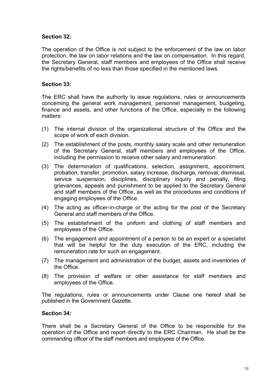## **Section 32:**

The operation of the Office is not subject to the enforcement of the law on labor protection, the law on labor relations and the law on compensation. In this regard, the Secretary General, staff members and employees of the Office shall receive the rights/benefits of no less than those specified in the mentioned laws.

## **Section 33:**

The ERC shall have the authority to issue regulations, rules or announcements concerning the general work management, personnel management, budgeting, finance and assets, and other functions of the Office, especially in the following matters:

- (1) The internal division of the organizational structure of the Office and the scope of work of each division.
- (2) The establishment of the posts, monthly salary scale and other remuneration of the Secretary General, staff members and employees of the Office, including the permission to receive other salary and remuneration.
- (3) The determination of qualifications, selection, assignment, appointment, probation, transfer, promotion, salary increase, discharge, removal, dismissal, service suspension, disciplines, disciplinary inquiry and penalty, filing grievances, appeals and punishment to be applied to the Secretary General and staff members of the Office, as well as the procedures and conditions of engaging employees of the Office.
- (4) The acting as officer-in-charge or the acting for the post of the Secretary General and staff members of the Office.
- (5) The establishment of the uniform and clothing of staff members and employees of the Office.
- (6) The engagement and appointment of a person to be an expert or a specialist that will be helpful for the duty execution of the ERC, including the remuneration rate for such an engagement.
- (7) The management and administration of the budget, assets and inventories of the Office.
- (8) The provision of welfare or other assistance for staff members and employees of the Office.

The regulations, rules or announcements under Clause one hereof shall be published in the Government Gazette.

## **Section 34:**

There shall be a Secretary General of the Office to be responsible for the operation of the Office and report directly to the ERC Chairman. He shall be the commanding officer of the staff members and employees of the Office.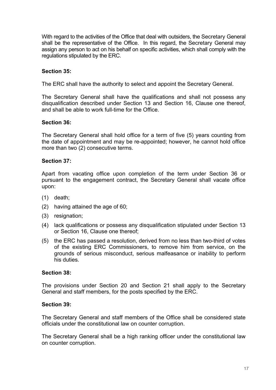With regard to the activities of the Office that deal with outsiders, the Secretary General shall be the representative of the Office. In this regard, the Secretary General may assign any person to act on his behalf on specific activities, which shall comply with the regulations stipulated by the ERC.

## **Section 35:**

The ERC shall have the authority to select and appoint the Secretary General.

The Secretary General shall have the qualifications and shall not possess any disqualification described under Section 13 and Section 16, Clause one thereof, and shall be able to work full-time for the Office.

## **Section 36:**

The Secretary General shall hold office for a term of five (5) years counting from the date of appointment and may be re-appointed; however, he cannot hold office more than two (2) consecutive terms.

## **Section 37:**

Apart from vacating office upon completion of the term under Section 36 or pursuant to the engagement contract, the Secretary General shall vacate office upon:

- (1) death;
- (2) having attained the age of 60;
- (3) resignation;
- (4) lack qualifications or possess any disqualification stipulated under Section 13 or Section 16, Clause one thereof;
- (5) the ERC has passed a resolution, derived from no less than two-third of votes of the existing ERC Commissioners, to remove him from service, on the grounds of serious misconduct, serious malfeasance or inability to perform his duties.

#### **Section 38:**

The provisions under Section 20 and Section 21 shall apply to the Secretary General and staff members, for the posts specified by the ERC.

#### **Section 39:**

The Secretary General and staff members of the Office shall be considered state officials under the constitutional law on counter corruption.

The Secretary General shall be a high ranking officer under the constitutional law on counter corruption.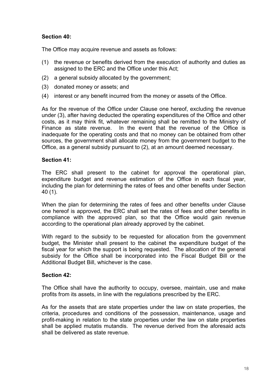## **Section 40:**

The Office may acquire revenue and assets as follows:

- (1) the revenue or benefits derived from the execution of authority and duties as assigned to the ERC and the Office under this Act;
- (2) a general subsidy allocated by the government;
- (3) donated money or assets; and
- (4) interest or any benefit incurred from the money or assets of the Office.

As for the revenue of the Office under Clause one hereof, excluding the revenue under (3), after having deducted the operating expenditures of the Office and other costs, as it may think fit, whatever remaining shall be remitted to the Ministry of Finance as state revenue. In the event that the revenue of the Office is inadequate for the operating costs and that no money can be obtained from other sources, the government shall allocate money from the government budget to the Office, as a general subsidy pursuant to (2), at an amount deemed necessary.

## **Section 41:**

The ERC shall present to the cabinet for approval the operational plan, expenditure budget and revenue estimation of the Office in each fiscal year, including the plan for determining the rates of fees and other benefits under Section 40 (1).

When the plan for determining the rates of fees and other benefits under Clause one hereof is approved, the ERC shall set the rates of fees and other benefits in compliance with the approved plan, so that the Office would gain revenue according to the operational plan already approved by the cabinet.

With regard to the subsidy to be requested for allocation from the government budget, the Minister shall present to the cabinet the expenditure budget of the fiscal year for which the support is being requested. The allocation of the general subsidy for the Office shall be incorporated into the Fiscal Budget Bill or the Additional Budget Bill, whichever is the case.

## **Section 42:**

The Office shall have the authority to occupy, oversee, maintain, use and make profits from its assets, in line with the regulations prescribed by the ERC.

As for the assets that are state properties under the law on state properties, the criteria, procedures and conditions of the possession, maintenance, usage and profit-making in relation to the state properties under the law on state properties shall be applied mutatis mutandis. The revenue derived from the aforesaid acts shall be delivered as state revenue.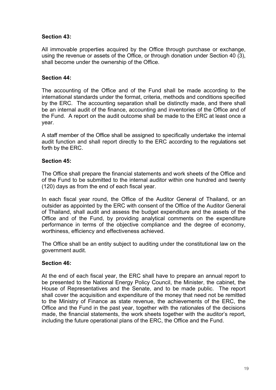## **Section 43:**

All immovable properties acquired by the Office through purchase or exchange, using the revenue or assets of the Office, or through donation under Section 40 (3), shall become under the ownership of the Office.

## **Section 44:**

The accounting of the Office and of the Fund shall be made according to the international standards under the format, criteria, methods and conditions specified by the ERC. The accounting separation shall be distinctly made, and there shall be an internal audit of the finance, accounting and inventories of the Office and of the Fund. A report on the audit outcome shall be made to the ERC at least once a year.

A staff member of the Office shall be assigned to specifically undertake the internal audit function and shall report directly to the ERC according to the regulations set forth by the ERC.

## **Section 45:**

The Office shall prepare the financial statements and work sheets of the Office and of the Fund to be submitted to the internal auditor within one hundred and twenty (120) days as from the end of each fiscal year.

In each fiscal year round, the Office of the Auditor General of Thailand, or an outsider as appointed by the ERC with consent of the Office of the Auditor General of Thailand, shall audit and assess the budget expenditure and the assets of the Office and of the Fund, by providing analytical comments on the expenditure performance in terms of the objective compliance and the degree of economy, worthiness, efficiency and effectiveness achieved.

The Office shall be an entity subject to auditing under the constitutional law on the government audit.

## **Section 46:**

At the end of each fiscal year, the ERC shall have to prepare an annual report to be presented to the National Energy Policy Council, the Minister, the cabinet, the House of Representatives and the Senate, and to be made public. The report shall cover the acquisition and expenditure of the money that need not be remitted to the Ministry of Finance as state revenue, the achievements of the ERC, the Office and the Fund in the past year, together with the rationales of the decisions made, the financial statements, the work sheets together with the auditor's report, including the future operational plans of the ERC, the Office and the Fund.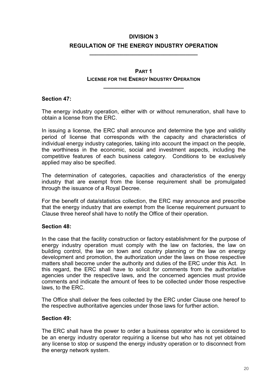## **DIVISION 3 REGULATION OF THE ENERGY INDUSTRY OPERATION**

**\_\_\_\_\_\_\_\_\_\_\_\_\_\_\_\_\_\_\_\_\_\_\_\_\_\_\_\_\_\_\_\_\_\_\_** 

## **PART 1 LICENSE FOR THE ENERGY INDUSTRY OPERATION**

**\_\_\_\_\_\_\_\_\_\_\_\_\_\_\_\_\_\_\_\_\_\_\_\_\_\_** 

### **Section 47:**

The energy industry operation, either with or without remuneration, shall have to obtain a license from the ERC.

In issuing a license, the ERC shall announce and determine the type and validity period of license that corresponds with the capacity and characteristics of individual energy industry categories, taking into account the impact on the people, the worthiness in the economic, social and investment aspects, including the competitive features of each business category. Conditions to be exclusively applied may also be specified.

The determination of categories, capacities and characteristics of the energy industry that are exempt from the license requirement shall be promulgated through the issuance of a Royal Decree.

For the benefit of data/statistics collection, the ERC may announce and prescribe that the energy industry that are exempt from the license requirement pursuant to Clause three hereof shall have to notify the Office of their operation.

## **Section 48:**

In the case that the facility construction or factory establishment for the purpose of energy industry operation must comply with the law on factories, the law on building control, the law on town and country planning or the law on energy development and promotion, the authorization under the laws on those respective matters shall become under the authority and duties of the ERC under this Act. In this regard, the ERC shall have to solicit for comments from the authoritative agencies under the respective laws, and the concerned agencies must provide comments and indicate the amount of fees to be collected under those respective laws, to the ERC.

The Office shall deliver the fees collected by the ERC under Clause one hereof to the respective authoritative agencies under those laws for further action.

#### **Section 49:**

The ERC shall have the power to order a business operator who is considered to be an energy industry operator requiring a license but who has not yet obtained any license to stop or suspend the energy industry operation or to disconnect from the energy network system.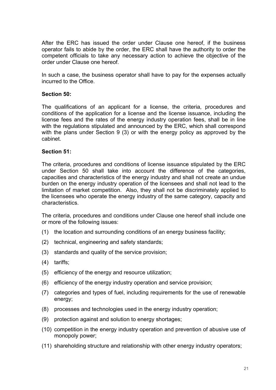After the ERC has issued the order under Clause one hereof, if the business operator fails to abide by the order, the ERC shall have the authority to order the competent officials to take any necessary action to achieve the objective of the order under Clause one hereof.

In such a case, the business operator shall have to pay for the expenses actually incurred to the Office.

#### **Section 50:**

The qualifications of an applicant for a license, the criteria, procedures and conditions of the application for a license and the license issuance, including the license fees and the rates of the energy industry operation fees, shall be in line with the regulations stipulated and announced by the ERC, which shall correspond with the plans under Section 9 (3) or with the energy policy as approved by the cabinet.

#### **Section 51:**

The criteria, procedures and conditions of license issuance stipulated by the ERC under Section 50 shall take into account the difference of the categories, capacities and characteristics of the energy industry and shall not create an undue burden on the energy industry operation of the licensees and shall not lead to the limitation of market competition. Also, they shall not be discriminately applied to the licensees who operate the energy industry of the same category, capacity and characteristics.

The criteria, procedures and conditions under Clause one hereof shall include one or more of the following issues:

- (1) the location and surrounding conditions of an energy business facility;
- (2) technical, engineering and safety standards;
- (3) standards and quality of the service provision;
- (4) tariffs;
- (5) efficiency of the energy and resource utilization;
- (6) efficiency of the energy industry operation and service provision;
- (7) categories and types of fuel, including requirements for the use of renewable energy;
- (8) processes and technologies used in the energy industry operation;
- (9) protection against and solution to energy shortages;
- (10) competition in the energy industry operation and prevention of abusive use of monopoly power;
- (11) shareholding structure and relationship with other energy industry operators;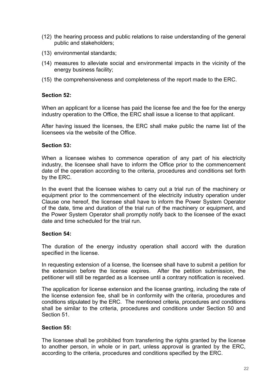- (12) the hearing process and public relations to raise understanding of the general public and stakeholders;
- (13) environmental standards;
- (14) measures to alleviate social and environmental impacts in the vicinity of the energy business facility;
- (15) the comprehensiveness and completeness of the report made to the ERC.

#### **Section 52:**

When an applicant for a license has paid the license fee and the fee for the energy industry operation to the Office, the ERC shall issue a license to that applicant.

After having issued the licenses, the ERC shall make public the name list of the licensees via the website of the Office.

#### **Section 53:**

When a licensee wishes to commence operation of any part of his electricity industry, the licensee shall have to inform the Office prior to the commencement date of the operation according to the criteria, procedures and conditions set forth by the ERC.

In the event that the licensee wishes to carry out a trial run of the machinery or equipment prior to the commencement of the electricity industry operation under Clause one hereof, the licensee shall have to inform the Power System Operator of the date, time and duration of the trial run of the machinery or equipment, and the Power System Operator shall promptly notify back to the licensee of the exact date and time scheduled for the trial run.

#### **Section 54:**

The duration of the energy industry operation shall accord with the duration specified in the license.

In requesting extension of a license, the licensee shall have to submit a petition for the extension before the license expires. After the petition submission, the petitioner will still be regarded as a licensee until a contrary notification is received.

The application for license extension and the license granting, including the rate of the license extension fee, shall be in conformity with the criteria, procedures and conditions stipulated by the ERC. The mentioned criteria, procedures and conditions shall be similar to the criteria, procedures and conditions under Section 50 and Section 51.

## **Section 55:**

The licensee shall be prohibited from transferring the rights granted by the license to another person, in whole or in part, unless approval is granted by the ERC, according to the criteria, procedures and conditions specified by the ERC.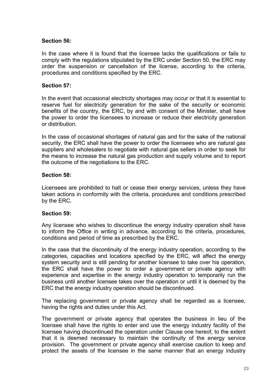## **Section 56:**

In the case where it is found that the licensee lacks the qualifications or fails to comply with the regulations stipulated by the ERC under Section 50, the ERC may order the suspension or cancellation of the license, according to the criteria, procedures and conditions specified by the ERC.

#### **Section 57:**

In the event that occasional electricity shortages may occur or that it is essential to reserve fuel for electricity generation for the sake of the security or economic benefits of the country, the ERC, by and with consent of the Minister, shall have the power to order the licensees to increase or reduce their electricity generation or distribution.

In the case of occasional shortages of natural gas and for the sake of the national security, the ERC shall have the power to order the licensees who are natural gas suppliers and wholesalers to negotiate with natural gas sellers in order to seek for the means to increase the natural gas production and supply volume and to report the outcome of the negotiations to the ERC.

## **Section 58:**

Licensees are prohibited to halt or cease their energy services, unless they have taken actions in conformity with the criteria, procedures and conditions prescribed by the ERC.

#### **Section 59:**

Any licensee who wishes to discontinue the energy industry operation shall have to inform the Office in writing in advance, according to the criteria, procedures, conditions and period of time as prescribed by the ERC.

In the case that the discontinuity of the energy industry operation, according to the categories, capacities and locations specified by the ERC, will affect the energy system security and is still pending for another licensee to take over his operation, the ERC shall have the power to order a government or private agency with experience and expertise in the energy industry operation to temporarily run the business until another licensee takes over the operation or until it is deemed by the ERC that the energy industry operation should be discontinued.

The replacing government or private agency shall be regarded as a licensee, having the rights and duties under this Act.

The government or private agency that operates the business in lieu of the licensee shall have the rights to enter and use the energy industry facility of the licensee having discontinued the operation under Clause one hereof, to the extent that it is deemed necessary to maintain the continuity of the energy service provision. The government or private agency shall exercise caution to keep and protect the assets of the licensee in the same manner that an energy industry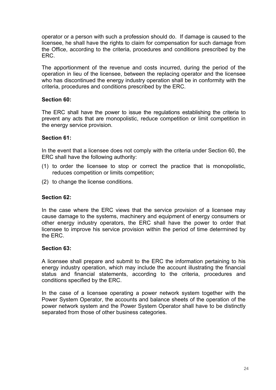operator or a person with such a profession should do. If damage is caused to the licensee, he shall have the rights to claim for compensation for such damage from the Office, according to the criteria, procedures and conditions prescribed by the ERC.

The apportionment of the revenue and costs incurred, during the period of the operation in lieu of the licensee, between the replacing operator and the licensee who has discontinued the energy industry operation shall be in conformity with the criteria, procedures and conditions prescribed by the ERC.

#### **Section 60:**

The ERC shall have the power to issue the regulations establishing the criteria to prevent any acts that are monopolistic, reduce competition or limit competition in the energy service provision.

#### **Section 61:**

In the event that a licensee does not comply with the criteria under Section 60, the ERC shall have the following authority:

- (1) to order the licensee to stop or correct the practice that is monopolistic, reduces competition or limits competition;
- (2) to change the license conditions.

#### **Section 62:**

In the case where the ERC views that the service provision of a licensee may cause damage to the systems, machinery and equipment of energy consumers or other energy industry operators, the ERC shall have the power to order that licensee to improve his service provision within the period of time determined by the ERC.

#### **Section 63:**

A licensee shall prepare and submit to the ERC the information pertaining to his energy industry operation, which may include the account illustrating the financial status and financial statements, according to the criteria, procedures and conditions specified by the ERC.

In the case of a licensee operating a power network system together with the Power System Operator, the accounts and balance sheets of the operation of the power network system and the Power System Operator shall have to be distinctly separated from those of other business categories.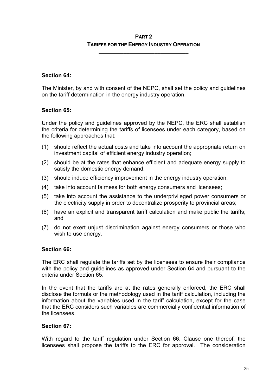## **PART 2 TARIFFS FOR THE ENERGY INDUSTRY OPERATION**

**\_\_\_\_\_\_\_\_\_\_\_\_\_\_\_\_\_\_\_\_\_\_\_\_\_\_\_\_\_** 

## **Section 64:**

The Minister, by and with consent of the NEPC, shall set the policy and guidelines on the tariff determination in the energy industry operation.

## **Section 65:**

Under the policy and guidelines approved by the NEPC, the ERC shall establish the criteria for determining the tariffs of licensees under each category, based on the following approaches that:

- (1) should reflect the actual costs and take into account the appropriate return on investment capital of efficient energy industry operation;
- (2) should be at the rates that enhance efficient and adequate energy supply to satisfy the domestic energy demand;
- (3) should induce efficiency improvement in the energy industry operation;
- (4) take into account fairness for both energy consumers and licensees;
- (5) take into account the assistance to the underprivileged power consumers or the electricity supply in order to decentralize prosperity to provincial areas;
- (6) have an explicit and transparent tariff calculation and make public the tariffs; and
- (7) do not exert unjust discrimination against energy consumers or those who wish to use energy.

## **Section 66:**

The ERC shall regulate the tariffs set by the licensees to ensure their compliance with the policy and guidelines as approved under Section 64 and pursuant to the criteria under Section 65.

In the event that the tariffs are at the rates generally enforced, the ERC shall disclose the formula or the methodology used in the tariff calculation, including the information about the variables used in the tariff calculation, except for the case that the ERC considers such variables are commercially confidential information of the licensees.

## **Section 67:**

With regard to the tariff regulation under Section 66, Clause one thereof, the licensees shall propose the tariffs to the ERC for approval. The consideration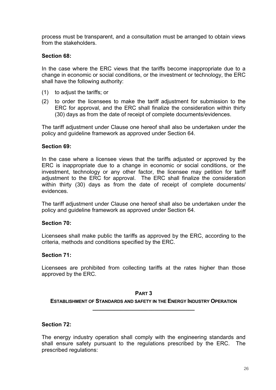process must be transparent, and a consultation must be arranged to obtain views from the stakeholders.

## **Section 68:**

In the case where the ERC views that the tariffs become inappropriate due to a change in economic or social conditions, or the investment or technology, the ERC shall have the following authority:

- (1) to adjust the tariffs; or
- (2) to order the licensees to make the tariff adjustment for submission to the ERC for approval, and the ERC shall finalize the consideration within thirty (30) days as from the date of receipt of complete documents/evidences.

The tariff adjustment under Clause one hereof shall also be undertaken under the policy and guideline framework as approved under Section 64.

#### **Section 69:**

In the case where a licensee views that the tariffs adjusted or approved by the ERC is inappropriate due to a change in economic or social conditions, or the investment, technology or any other factor, the licensee may petition for tariff adjustment to the ERC for approval. The ERC shall finalize the consideration within thirty (30) days as from the date of receipt of complete documents/ evidences.

The tariff adjustment under Clause one hereof shall also be undertaken under the policy and guideline framework as approved under Section 64.

#### **Section 70:**

Licensees shall make public the tariffs as approved by the ERC, according to the criteria, methods and conditions specified by the ERC.

#### **Section 71:**

Licensees are prohibited from collecting tariffs at the rates higher than those approved by the ERC.

#### **PART 3**

**ESTABLISHMENT OF STANDARDS AND SAFETY IN THE ENERGY INDUSTRY OPERATION \_\_\_\_\_\_\_\_\_\_\_\_\_\_\_\_\_\_\_\_\_\_\_\_\_\_\_\_\_\_\_\_\_** 

#### **Section 72:**

The energy industry operation shall comply with the engineering standards and shall ensure safety pursuant to the regulations prescribed by the ERC. The prescribed regulations: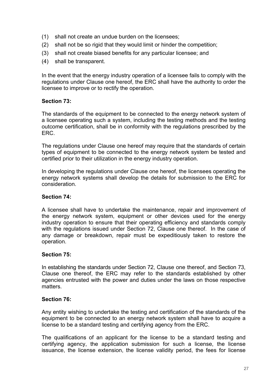- (1) shall not create an undue burden on the licensees;
- (2) shall not be so rigid that they would limit or hinder the competition;
- (3) shall not create biased benefits for any particular licensee; and
- (4) shall be transparent.

In the event that the energy industry operation of a licensee fails to comply with the regulations under Clause one hereof, the ERC shall have the authority to order the licensee to improve or to rectify the operation.

## **Section 73:**

The standards of the equipment to be connected to the energy network system of a licensee operating such a system, including the testing methods and the testing outcome certification, shall be in conformity with the regulations prescribed by the ERC.

The regulations under Clause one hereof may require that the standards of certain types of equipment to be connected to the energy network system be tested and certified prior to their utilization in the energy industry operation.

In developing the regulations under Clause one hereof, the licensees operating the energy network systems shall develop the details for submission to the ERC for consideration.

## **Section 74:**

A licensee shall have to undertake the maintenance, repair and improvement of the energy network system, equipment or other devices used for the energy industry operation to ensure that their operating efficiency and standards comply with the regulations issued under Section 72, Clause one thereof. In the case of any damage or breakdown, repair must be expeditiously taken to restore the operation.

## **Section 75:**

In establishing the standards under Section 72, Clause one thereof, and Section 73, Clause one thereof, the ERC may refer to the standards established by other agencies entrusted with the power and duties under the laws on those respective matters.

## **Section 76:**

Any entity wishing to undertake the testing and certification of the standards of the equipment to be connected to an energy network system shall have to acquire a license to be a standard testing and certifying agency from the ERC.

The qualifications of an applicant for the license to be a standard testing and certifying agency, the application submission for such a license, the license issuance, the license extension, the license validity period, the fees for license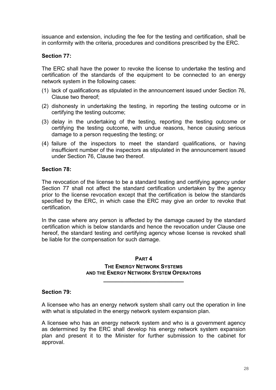issuance and extension, including the fee for the testing and certification, shall be in conformity with the criteria, procedures and conditions prescribed by the ERC.

## **Section 77:**

The ERC shall have the power to revoke the license to undertake the testing and certification of the standards of the equipment to be connected to an energy network system in the following cases:

- (1) lack of qualifications as stipulated in the announcement issued under Section 76, Clause two thereof;
- (2) dishonesty in undertaking the testing, in reporting the testing outcome or in certifying the testing outcome;
- (3) delay in the undertaking of the testing, reporting the testing outcome or certifying the testing outcome, with undue reasons, hence causing serious damage to a person requesting the testing; or
- (4) failure of the inspectors to meet the standard qualifications, or having insufficient number of the inspectors as stipulated in the announcement issued under Section 76, Clause two thereof.

## **Section 78:**

The revocation of the license to be a standard testing and certifying agency under Section 77 shall not affect the standard certification undertaken by the agency prior to the license revocation except that the certification is below the standards specified by the ERC, in which case the ERC may give an order to revoke that certification.

In the case where any person is affected by the damage caused by the standard certification which is below standards and hence the revocation under Clause one hereof, the standard testing and certifying agency whose license is revoked shall be liable for the compensation for such damage.

#### **PART 4**

#### **THE ENERGY NETWORK SYSTEMS AND THE ENERGY NETWORK SYSTEM OPERATORS**

**\_\_\_\_\_\_\_\_\_\_\_\_\_\_\_\_\_\_\_\_\_\_\_\_\_\_** 

#### **Section 79:**

A licensee who has an energy network system shall carry out the operation in line with what is stipulated in the energy network system expansion plan.

A licensee who has an energy network system and who is a government agency as determined by the ERC shall develop his energy network system expansion plan and present it to the Minister for further submission to the cabinet for approval.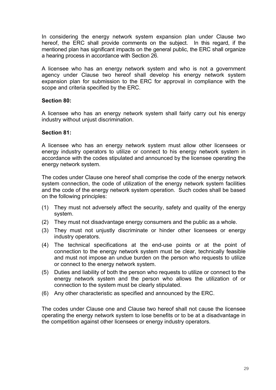In considering the energy network system expansion plan under Clause two hereof, the ERC shall provide comments on the subject. In this regard, if the mentioned plan has significant impacts on the general public, the ERC shall organize a hearing process in accordance with Section 26.

A licensee who has an energy network system and who is not a government agency under Clause two hereof shall develop his energy network system expansion plan for submission to the ERC for approval in compliance with the scope and criteria specified by the ERC.

## **Section 80:**

A licensee who has an energy network system shall fairly carry out his energy industry without unjust discrimination.

## **Section 81:**

A licensee who has an energy network system must allow other licensees or energy industry operators to utilize or connect to his energy network system in accordance with the codes stipulated and announced by the licensee operating the energy network system.

The codes under Clause one hereof shall comprise the code of the energy network system connection, the code of utilization of the energy network system facilities and the code of the energy network system operation. Such codes shall be based on the following principles:

- (1) They must not adversely affect the security, safety and quality of the energy system.
- (2) They must not disadvantage energy consumers and the public as a whole.
- (3) They must not unjustly discriminate or hinder other licensees or energy industry operators.
- (4) The technical specifications at the end-use points or at the point of connection to the energy network system must be clear, technically feasible and must not impose an undue burden on the person who requests to utilize or connect to the energy network system.
- (5) Duties and liability of both the person who requests to utilize or connect to the energy network system and the person who allows the utilization of or connection to the system must be clearly stipulated.
- (6) Any other characteristic as specified and announced by the ERC.

The codes under Clause one and Clause two hereof shall not cause the licensee operating the energy network system to lose benefits or to be at a disadvantage in the competition against other licensees or energy industry operators.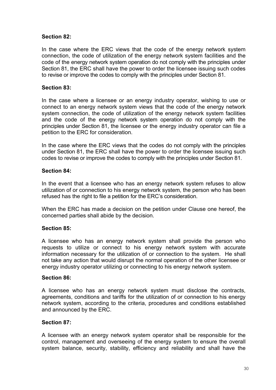## **Section 82:**

In the case where the ERC views that the code of the energy network system connection, the code of utilization of the energy network system facilities and the code of the energy network system operation do not comply with the principles under Section 81, the ERC shall have the power to order the licensee issuing such codes to revise or improve the codes to comply with the principles under Section 81.

## **Section 83:**

In the case where a licensee or an energy industry operator, wishing to use or connect to an energy network system views that the code of the energy network system connection, the code of utilization of the energy network system facilities and the code of the energy network system operation do not comply with the principles under Section 81, the licensee or the energy industry operator can file a petition to the ERC for consideration.

In the case where the ERC views that the codes do not comply with the principles under Section 81, the ERC shall have the power to order the licensee issuing such codes to revise or improve the codes to comply with the principles under Section 81.

## **Section 84:**

In the event that a licensee who has an energy network system refuses to allow utilization of or connection to his energy network system, the person who has been refused has the right to file a petition for the ERC's consideration.

When the ERC has made a decision on the petition under Clause one hereof, the concerned parties shall abide by the decision.

## **Section 85:**

A licensee who has an energy network system shall provide the person who requests to utilize or connect to his energy network system with accurate information necessary for the utilization of or connection to the system. He shall not take any action that would disrupt the normal operation of the other licensee or energy industry operator utilizing or connecting to his energy network system.

## **Section 86:**

A licensee who has an energy network system must disclose the contracts, agreements, conditions and tariffs for the utilization of or connection to his energy network system, according to the criteria, procedures and conditions established and announced by the ERC.

## **Section 87:**

A licensee with an energy network system operator shall be responsible for the control, management and overseeing of the energy system to ensure the overall system balance, security, stability, efficiency and reliability and shall have the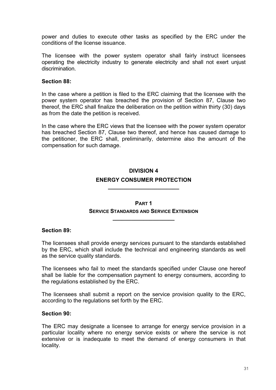power and duties to execute other tasks as specified by the ERC under the conditions of the license issuance.

The licensee with the power system operator shall fairly instruct licensees operating the electricity industry to generate electricity and shall not exert unjust discrimination.

#### **Section 88:**

In the case where a petition is filed to the ERC claiming that the licensee with the power system operator has breached the provision of Section 87, Clause two thereof, the ERC shall finalize the deliberation on the petition within thirty (30) days as from the date the petition is received.

In the case where the ERC views that the licensee with the power system operator has breached Section 87, Clause two thereof, and hence has caused damage to the petitioner, the ERC shall, preliminarily, determine also the amount of the compensation for such damage.

## **DIVISION 4 ENERGY CONSUMER PROTECTION \_\_\_\_\_\_\_\_\_\_\_\_\_\_\_\_\_\_\_\_\_\_\_**

## **PART 1 SERVICE STANDARDS AND SERVICE EXTENSION**

**\_\_\_\_\_\_\_\_\_\_\_\_\_\_\_\_\_\_\_\_** 

#### **Section 89:**

The licensees shall provide energy services pursuant to the standards established by the ERC, which shall include the technical and engineering standards as well as the service quality standards.

The licensees who fail to meet the standards specified under Clause one hereof shall be liable for the compensation payment to energy consumers, according to the regulations established by the ERC.

The licensees shall submit a report on the service provision quality to the ERC, according to the regulations set forth by the ERC.

#### **Section 90:**

The ERC may designate a licensee to arrange for energy service provision in a particular locality where no energy service exists or where the service is not extensive or is inadequate to meet the demand of energy consumers in that locality.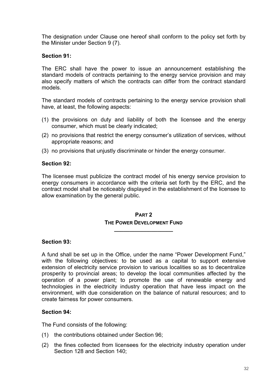The designation under Clause one hereof shall conform to the policy set forth by the Minister under Section 9 (7).

## **Section 91:**

The ERC shall have the power to issue an announcement establishing the standard models of contracts pertaining to the energy service provision and may also specify matters of which the contracts can differ from the contract standard models.

The standard models of contracts pertaining to the energy service provision shall have, at least, the following aspects:

- (1) the provisions on duty and liability of both the licensee and the energy consumer, which must be clearly indicated;
- (2) no provisions that restrict the energy consumer's utilization of services, without appropriate reasons; and
- (3) no provisions that unjustly discriminate or hinder the energy consumer.

#### **Section 92:**

The licensee must publicize the contract model of his energy service provision to energy consumers in accordance with the criteria set forth by the ERC, and the contract model shall be noticeably displayed in the establishment of the licensee to allow examination by the general public.

## **PART 2 THE POWER DEVELOPMENT FUND**

**\_\_\_\_\_\_\_\_\_\_\_\_\_\_\_\_\_\_\_** 

#### **Section 93:**

A fund shall be set up in the Office, under the name "Power Development Fund," with the following objectives: to be used as a capital to support extensive extension of electricity service provision to various localities so as to decentralize prosperity to provincial areas; to develop the local communities affected by the operation of a power plant; to promote the use of renewable energy and technologies in the electricity industry operation that have less impact on the environment, with due consideration on the balance of natural resources; and to create fairness for power consumers.

## **Section 94:**

The Fund consists of the following:

- (1) the contributions obtained under Section 96;
- (2) the fines collected from licensees for the electricity industry operation under Section 128 and Section 140;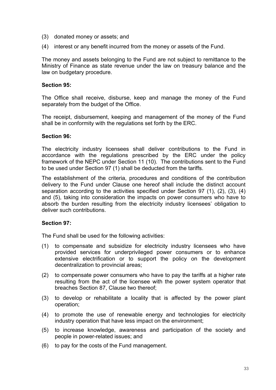- (3) donated money or assets; and
- (4) interest or any benefit incurred from the money or assets of the Fund.

The money and assets belonging to the Fund are not subject to remittance to the Ministry of Finance as state revenue under the law on treasury balance and the law on budgetary procedure.

#### **Section 95:**

The Office shall receive, disburse, keep and manage the money of the Fund separately from the budget of the Office.

The receipt, disbursement, keeping and management of the money of the Fund shall be in conformity with the regulations set forth by the ERC.

#### **Section 96:**

The electricity industry licensees shall deliver contributions to the Fund in accordance with the regulations prescribed by the ERC under the policy framework of the NEPC under Section 11 (10). The contributions sent to the Fund to be used under Section 97 (1) shall be deducted from the tariffs.

The establishment of the criteria, procedures and conditions of the contribution delivery to the Fund under Clause one hereof shall include the distinct account separation according to the activities specified under Section 97 (1), (2), (3), (4) and (5), taking into consideration the impacts on power consumers who have to absorb the burden resulting from the electricity industry licensees' obligation to deliver such contributions.

#### **Section 97:**

The Fund shall be used for the following activities:

- (1) to compensate and subsidize for electricity industry licensees who have provided services for underprivileged power consumers or to enhance extensive electrification or to support the policy on the development decentralization to provincial areas;
- (2) to compensate power consumers who have to pay the tariffs at a higher rate resulting from the act of the licensee with the power system operator that breaches Section 87, Clause two thereof;
- (3) to develop or rehabilitate a locality that is affected by the power plant operation;
- (4) to promote the use of renewable energy and technologies for electricity industry operation that have less impact on the environment;
- (5) to increase knowledge, awareness and participation of the society and people in power-related issues; and
- (6) to pay for the costs of the Fund management.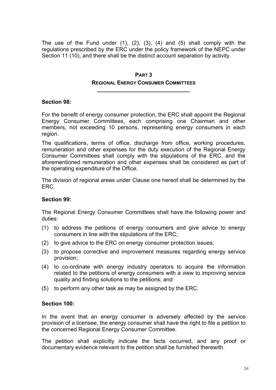The use of the Fund under  $(1)$ ,  $(2)$ ,  $(3)$ ,  $(4)$  and  $(5)$  shall comply with the regulations prescribed by the ERC under the policy framework of the NEPC under Section 11 (10), and there shall be the distinct account separation by activity.

## **PART 3 REGIONAL ENERGY CONSUMER COMMITTEES**

**\_\_\_\_\_\_\_\_\_\_\_\_\_\_\_\_\_\_\_\_\_\_\_\_\_\_\_\_\_\_** 

#### **Section 98:**

For the benefit of energy consumer protection, the ERC shall appoint the Regional Energy Consumer Committees, each comprising one Chairman and other members, not exceeding 10 persons, representing energy consumers in each region.

The qualifications, terms of office, discharge from office, working procedures, remuneration and other expenses for the duty execution of the Regional Energy Consumer Committees shall comply with the stipulations of the ERC, and the aforementioned remuneration and other expenses shall be considered as part of the operating expenditure of the Office.

The division of regional areas under Clause one hereof shall be determined by the ERC.

## **Section 99:**

The Regional Energy Consumer Committees shall have the following power and duties:

- (1) to address the petitions of energy consumers and give advice to energy consumers in line with the stipulations of the ERC;
- (2) to give advice to the ERC on energy consumer protection issues;
- (3) to propose corrective and improvement measures regarding energy service provision;
- (4) to co-ordinate with energy industry operators to acquire the information related to the petitions of energy consumers with a view to improving service quality and finding solutions to the petitions; and
- (5) to perform any other task as may be assigned by the ERC.

#### **Section 100:**

In the event that an energy consumer is adversely affected by the service provision of a licensee, the energy consumer shall have the right to file a petition to the concerned Regional Energy Consumer Committee.

The petition shall explicitly indicate the facts occurred, and any proof or documentary evidence relevant to the petition shall be furnished therewith.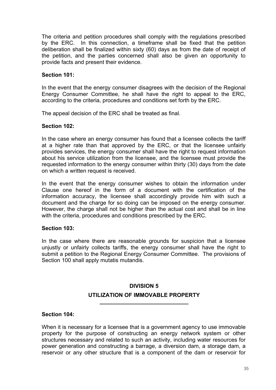The criteria and petition procedures shall comply with the regulations prescribed by the ERC. In this connection, a timeframe shall be fixed that the petition deliberation shall be finalized within sixty (60) days as from the date of receipt of the petition, and the parties concerned shall also be given an opportunity to provide facts and present their evidence.

## **Section 101:**

In the event that the energy consumer disagrees with the decision of the Regional Energy Consumer Committee, he shall have the right to appeal to the ERC, according to the criteria, procedures and conditions set forth by the ERC.

The appeal decision of the ERC shall be treated as final.

## **Section 102:**

In the case where an energy consumer has found that a licensee collects the tariff at a higher rate than that approved by the ERC, or that the licensee unfairly provides services, the energy consumer shall have the right to request information about his service utilization from the licensee, and the licensee must provide the requested information to the energy consumer within thirty (30) days from the date on which a written request is received.

In the event that the energy consumer wishes to obtain the information under Clause one hereof in the form of a document with the certification of the information accuracy, the licensee shall accordingly provide him with such a document and the charge for so doing can be imposed on the energy consumer. However, the charge shall not be higher than the actual cost and shall be in line with the criteria, procedures and conditions prescribed by the ERC.

## **Section 103:**

In the case where there are reasonable grounds for suspicion that a licensee unjustly or unfairly collects tariffs, the energy consumer shall have the right to submit a petition to the Regional Energy Consumer Committee. The provisions of Section 100 shall apply mutatis mutandis.

## **DIVISION 5 UTILIZATION OF IMMOVABLE PROPERTY**

**\_\_\_\_\_\_\_\_\_\_\_\_\_\_\_\_\_\_\_\_\_\_\_\_\_\_\_\_\_\_** 

#### **Section 104:**

When it is necessary for a licensee that is a government agency to use immovable property for the purpose of constructing an energy network system or other structures necessary and related to such an activity, including water resources for power generation and constructing a barrage, a diversion dam, a storage dam, a reservoir or any other structure that is a component of the dam or reservoir for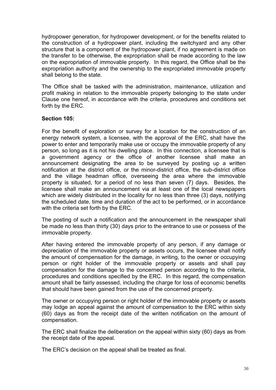hydropower generation, for hydropower development, or for the benefits related to the construction of a hydropower plant, including the switchyard and any other structure that is a component of the hydropower plant, if no agreement is made on the transfer to be otherwise, the expropriation shall be made according to the law on the expropriation of immovable property. In this regard, the Office shall be the expropriation authority and the ownership to the expropriated immovable property shall belong to the state.

The Office shall be tasked with the administration, maintenance, utilization and profit making in relation to the immovable property belonging to the state under Clause one hereof, in accordance with the criteria, procedures and conditions set forth by the ERC.

## **Section 105:**

For the benefit of exploration or survey for a location for the construction of an energy network system, a licensee, with the approval of the ERC, shall have the power to enter and temporarily make use or occupy the immovable property of any person, so long as it is not his dwelling place. In this connection, a licensee that is a government agency or the office of another licensee shall make an announcement designating the area to be surveyed by posting up a written notification at the district office, or the minor-district office, the sub-district office and the village headman office, overseeing the area where the immovable property is situated, for a period of no less than seven (7) days. Besides, the licensee shall make an announcement via at least one of the local newspapers which are widely distributed in the locality for no less than three (3) days, notifying the scheduled date, time and duration of the act to be performed, or in accordance with the criteria set forth by the ERC.

The posting of such a notification and the announcement in the newspaper shall be made no less than thirty (30) days prior to the entrance to use or possess of the immovable property.

After having entered the immovable property of any person, if any damage or depreciation of the immovable property or assets occurs, the licensee shall notify the amount of compensation for the damage, in writing, to the owner or occupying person or right holder of the immovable property or assets and shall pay compensation for the damage to the concerned person according to the criteria, procedures and conditions specified by the ERC. In this regard, the compensation amount shall be fairly assessed, including the charge for loss of economic benefits that should have been gained from the use of the concerned property.

The owner or occupying person or right holder of the immovable property or assets may lodge an appeal against the amount of compensation to the ERC within sixty (60) days as from the receipt date of the written notification on the amount of compensation.

The ERC shall finalize the deliberation on the appeal within sixty (60) days as from the receipt date of the appeal.

The ERC's decision on the appeal shall be treated as final.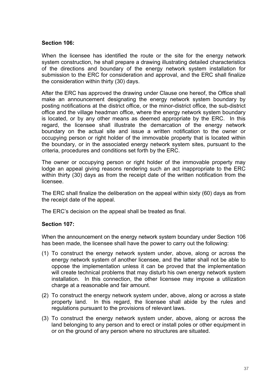#### **Section 106:**

When the licensee has identified the route or the site for the energy network system construction, he shall prepare a drawing illustrating detailed characteristics of the directions and boundary of the energy network system installation for submission to the ERC for consideration and approval, and the ERC shall finalize the consideration within thirty (30) days.

After the ERC has approved the drawing under Clause one hereof, the Office shall make an announcement designating the energy network system boundary by posting notifications at the district office, or the minor-district office, the sub-district office and the village headman office, where the energy network system boundary is located, or by any other means as deemed appropriate by the ERC. In this regard, the licensee shall illustrate the demarcation of the energy network boundary on the actual site and issue a written notification to the owner or occupying person or right holder of the immovable property that is located within the boundary, or in the associated energy network system sites, pursuant to the criteria, procedures and conditions set forth by the ERC.

The owner or occupying person or right holder of the immovable property may lodge an appeal giving reasons rendering such an act inappropriate to the ERC within thirty (30) days as from the receipt date of the written notification from the licensee.

The ERC shall finalize the deliberation on the appeal within sixty (60) days as from the receipt date of the appeal.

The ERC's decision on the appeal shall be treated as final.

## **Section 107:**

When the announcement on the energy network system boundary under Section 106 has been made, the licensee shall have the power to carry out the following:

- (1) To construct the energy network system under, above, along or across the energy network system of another licensee, and the latter shall not be able to oppose the implementation unless it can be proved that the implementation will create technical problems that may disturb his own energy network system installation. In this connection, the other licensee may impose a utilization charge at a reasonable and fair amount.
- (2) To construct the energy network system under, above, along or across a state property land. In this regard, the licensee shall abide by the rules and regulations pursuant to the provisions of relevant laws.
- (3) To construct the energy network system under, above, along or across the land belonging to any person and to erect or install poles or other equipment in or on the ground of any person where no structures are situated.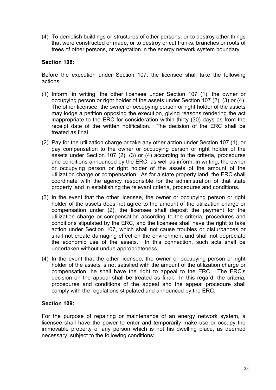(4) To demolish buildings or structures of other persons, or to destroy other things that were constructed or made, or to destroy or cut trunks, branches or roots of trees of other persons, or vegetation in the energy network system boundary.

## **Section 108:**

Before the execution under Section 107, the licensee shall take the following actions:

- (1) Inform, in writing, the other licensee under Section 107 (1), the owner or occupying person or right holder of the assets under Section 107 (2), (3) or (4). The other licensee, the owner or occupying person or right holder of the assets may lodge a petition opposing the execution, giving reasons rendering the act inappropriate to the ERC for consideration within thirty (30) days as from the receipt date of the written notification. The decision of the ERC shall be treated as final.
- (2) Pay for the utilization charge or take any other action under Section 107 (1), or pay compensation to the owner or occupying person or right holder of the assets under Section 107 (2), (3) or (4) according to the criteria, procedures and conditions announced by the ERC, as well as inform, in writing, the owner or occupying person or right holder of the assets of the amount of the utilization charge or compensation. As for a state property land, the ERC shall coordinate with the agency responsible for the administration of that state property land in establishing the relevant criteria, procedures and conditions.
- (3) In the event that the other licensee, the owner or occupying person or right holder of the assets does not agree to the amount of the utilization charge or compensation under (2), the licensee shall deposit the payment for the utilization charge or compensation according to the criteria, procedures and conditions stipulated by the ERC, and the licensee shall have the right to take action under Section 107, which shall not cause troubles or disturbances or shall not create damaging effect on the environment and shall not depreciate the economic use of the assets. In this connection, such acts shall be undertaken without undue appropriateness.
- (4) In the event that the other licensee, the owner or occupying person or right holder of the assets is not satisfied with the amount of the utilization charge or compensation, he shall have the right to appeal to the ERC. The ERC's decision on the appeal shall be treated as final. In this regard, the criteria, procedures and conditions of the appeal and the appeal procedure shall comply with the regulations stipulated and announced by the ERC.

## **Section 109:**

For the purpose of repairing or maintenance of an energy network system, a licensee shall have the power to enter and temporarily make use or occupy the immovable property of any person which is not his dwelling place, as deemed necessary, subject to the following conditions: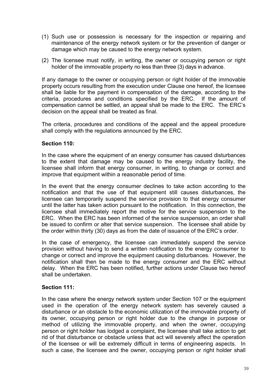- (1) Such use or possession is necessary for the inspection or repairing and maintenance of the energy network system or for the prevention of danger or damage which may be caused to the energy network system.
- (2) The licensee must notify, in writing, the owner or occupying person or right holder of the immovable property no less than three (3) days in advance.

If any damage to the owner or occupying person or right holder of the immovable property occurs resulting from the execution under Clause one hereof, the licensee shall be liable for the payment in compensation of the damage, according to the criteria, procedures and conditions specified by the ERC. If the amount of compensation cannot be settled, an appeal shall be made to the ERC. The ERC's decision on the appeal shall be treated as final.

The criteria, procedures and conditions of the appeal and the appeal procedure shall comply with the regulations announced by the ERC.

## **Section 110:**

In the case where the equipment of an energy consumer has caused disturbances to the extent that damage may be caused to the energy industry facility, the licensee shall inform that energy consumer, in writing, to change or correct and improve that equipment within a reasonable period of time.

In the event that the energy consumer declines to take action according to the notification and that the use of that equipment still causes disturbances, the licensee can temporarily suspend the service provision to that energy consumer until the latter has taken action pursuant to the notification. In this connection, the licensee shall immediately report the motive for the service suspension to the ERC. When the ERC has been informed of the service suspension, an order shall be issued to confirm or alter that service suspension. The licensee shall abide by the order within thirty (30) days as from the date of issuance of the ERC's order.

In the case of emergency, the licensee can immediately suspend the service provision without having to send a written notification to the energy consumer to change or correct and improve the equipment causing disturbances. However, the notification shall then be made to the energy consumer and the ERC without delay. When the ERC has been notified, further actions under Clause two hereof shall be undertaken.

## **Section 111:**

In the case where the energy network system under Section 107 or the equipment used in the operation of the energy network system has severely caused a disturbance or an obstacle to the economic utilization of the immovable property of its owner, occupying person or right holder due to the change in purpose or method of utilizing the immovable property, and when the owner, occupying person or right holder has lodged a complaint, the licensee shall take action to get rid of that disturbance or obstacle unless that act will severely affect the operation of the licensee or will be extremely difficult in terms of engineering aspects. In such a case, the licensee and the owner, occupying person or right holder shall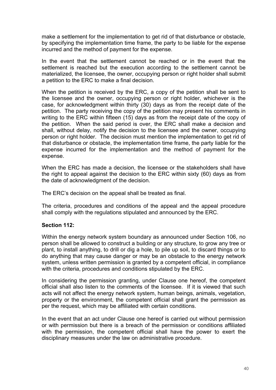make a settlement for the implementation to get rid of that disturbance or obstacle, by specifying the implementation time frame, the party to be liable for the expense incurred and the method of payment for the expense.

In the event that the settlement cannot be reached or in the event that the settlement is reached but the execution according to the settlement cannot be materialized, the licensee, the owner, occupying person or right holder shall submit a petition to the ERC to make a final decision.

When the petition is received by the ERC, a copy of the petition shall be sent to the licensee and the owner, occupying person or right holder, whichever is the case, for acknowledgment within thirty (30) days as from the receipt date of the petition. The party receiving the copy of the petition may present his comments in writing to the ERC within fifteen (15) days as from the receipt date of the copy of the petition. When the said period is over, the ERC shall make a decision and shall, without delay, notify the decision to the licensee and the owner, occupying person or right holder. The decision must mention the implementation to get rid of that disturbance or obstacle, the implementation time frame, the party liable for the expense incurred for the implementation and the method of payment for the expense.

When the ERC has made a decision, the licensee or the stakeholders shall have the right to appeal against the decision to the ERC within sixty (60) days as from the date of acknowledgment of the decision.

The ERC's decision on the appeal shall be treated as final.

The criteria, procedures and conditions of the appeal and the appeal procedure shall comply with the regulations stipulated and announced by the ERC.

## **Section 112:**

Within the energy network system boundary as announced under Section 106, no person shall be allowed to construct a building or any structure, to grow any tree or plant, to install anything, to drill or dig a hole, to pile up soil, to discard things or to do anything that may cause danger or may be an obstacle to the energy network system, unless written permission is granted by a competent official, in compliance with the criteria, procedures and conditions stipulated by the ERC.

In considering the permission granting, under Clause one hereof, the competent official shall also listen to the comments of the licensee. If it is viewed that such acts will not affect the energy network system, human beings, animals, vegetation, property or the environment, the competent official shall grant the permission as per the request, which may be affiliated with certain conditions.

In the event that an act under Clause one hereof is carried out without permission or with permission but there is a breach of the permission or conditions affiliated with the permission, the competent official shall have the power to exert the disciplinary measures under the law on administrative procedure.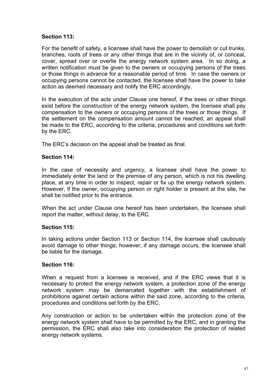## **Section 113:**

For the benefit of safety, a licensee shall have the power to demolish or cut trunks, branches, roots of trees or any other things that are in the vicinity of, or conceal, cover, spread over or overlie the energy network system area. In so doing, a written notification must be given to the owners or occupying persons of the trees or those things in advance for a reasonable period of time. In case the owners or occupying persons cannot be contacted, the licensee shall have the power to take action as deemed necessary and notify the ERC accordingly.

In the execution of the acts under Clause one hereof, if the trees or other things exist before the construction of the energy network system, the licensee shall pay compensation to the owners or occupying persons of the trees or those things. If the settlement on the compensation amount cannot be reached, an appeal shall be made to the ERC, according to the criteria, procedures and conditions set forth by the ERC.

The ERC's decision on the appeal shall be treated as final.

## **Section 114:**

In the case of necessity and urgency, a licensee shall have the power to immediately enter the land or the premise of any person, which is not his dwelling place, at any time in order to inspect, repair or fix up the energy network system. However, if the owner, occupying person or right holder is present at the site, he shall be notified prior to the entrance.

When the act under Clause one hereof has been undertaken, the licensee shall report the matter, without delay, to the ERC.

## **Section 115:**

In taking actions under Section 113 or Section 114, the licensee shall cautiously avoid damage to other things; however, if any damage occurs, the licensee shall be liable for the damage.

## **Section 116:**

When a request from a licensee is received, and if the ERC views that it is necessary to protect the energy network system, a protection zone of the energy network system may be demarcated together with the establishment of prohibitions against certain actions within the said zone, according to the criteria, procedures and conditions set forth by the ERC.

Any construction or action to be undertaken within the protection zone of the energy network system shall have to be permitted by the ERC, and in granting the permission, the ERC shall also take into consideration the protection of related energy network systems.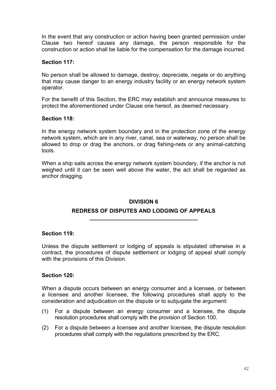In the event that any construction or action having been granted permission under Clause two hereof causes any damage, the person responsible for the construction or action shall be liable for the compensation for the damage incurred.

## **Section 117:**

No person shall be allowed to damage, destroy, depreciate, negate or do anything that may cause danger to an energy industry facility or an energy network system operator.

For the benefit of this Section, the ERC may establish and announce measures to protect the aforementioned under Clause one hereof, as deemed necessary.

## **Section 118:**

In the energy network system boundary and in the protection zone of the energy network system, which are in any river, canal, sea or waterway, no person shall be allowed to drop or drag the anchors, or drag fishing-nets or any animal-catching tools.

When a ship sails across the energy network system boundary, if the anchor is not weighed until it can be seen well above the water, the act shall be regarded as anchor dragging.

## **DIVISION 6**

## **REDRESS OF DISPUTES AND LODGING OF APPEALS \_\_\_\_\_\_\_\_\_\_\_\_\_\_\_\_\_\_\_\_\_\_\_\_\_\_\_\_\_\_\_\_\_\_\_**

## **Section 119:**

Unless the dispute settlement or lodging of appeals is stipulated otherwise in a contract, the procedures of dispute settlement or lodging of appeal shall comply with the provisions of this Division.

## **Section 120:**

When a dispute occurs between an energy consumer and a licensee, or between a licensee and another licensee, the following procedures shall apply to the consideration and adjudication on the dispute or to subjugate the argument:

- (1) For a dispute between an energy consumer and a licensee, the dispute resolution procedures shall comply with the provision of Section 100.
- (2) For a dispute between a licensee and another licensee, the dispute resolution procedures shall comply with the regulations prescribed by the ERC.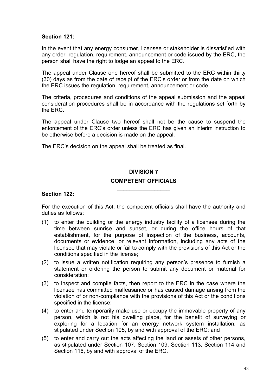## **Section 121:**

In the event that any energy consumer, licensee or stakeholder is dissatisfied with any order, regulation, requirement, announcement or code issued by the ERC, the person shall have the right to lodge an appeal to the ERC.

The appeal under Clause one hereof shall be submitted to the ERC within thirty (30) days as from the date of receipt of the ERC's order or from the date on which the ERC issues the regulation, requirement, announcement or code.

The criteria, procedures and conditions of the appeal submission and the appeal consideration procedures shall be in accordance with the regulations set forth by the ERC.

The appeal under Clause two hereof shall not be the cause to suspend the enforcement of the ERC's order unless the ERC has given an interim instruction to be otherwise before a decision is made on the appeal.

The ERC's decision on the appeal shall be treated as final.

## **DIVISION 7 COMPETENT OFFICIALS**

**\_\_\_\_\_\_\_\_\_\_\_\_\_\_\_\_\_** 

#### **Section 122:**

For the execution of this Act, the competent officials shall have the authority and duties as follows:

- (1) to enter the building or the energy industry facility of a licensee during the time between sunrise and sunset, or during the office hours of that establishment, for the purpose of inspection of the business, accounts, documents or evidence, or relevant information, including any acts of the licensee that may violate or fail to comply with the provisions of this Act or the conditions specified in the license;
- (2) to issue a written notification requiring any person's presence to furnish a statement or ordering the person to submit any document or material for consideration;
- (3) to inspect and compile facts, then report to the ERC in the case where the licensee has committed malfeasance or has caused damage arising from the violation of or non-compliance with the provisions of this Act or the conditions specified in the license;
- (4) to enter and temporarily make use or occupy the immovable property of any person, which is not his dwelling place, for the benefit of surveying or exploring for a location for an energy network system installation, as stipulated under Section 105, by and with approval of the ERC; and
- (5) to enter and carry out the acts affecting the land or assets of other persons, as stipulated under Section 107, Section 109, Section 113, Section 114 and Section 116, by and with approval of the ERC.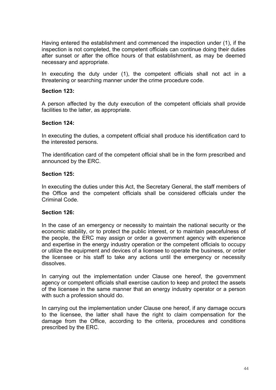Having entered the establishment and commenced the inspection under (1), if the inspection is not completed, the competent officials can continue doing their duties after sunset or after the office hours of that establishment, as may be deemed necessary and appropriate.

In executing the duty under (1), the competent officials shall not act in a threatening or searching manner under the crime procedure code.

## **Section 123:**

A person affected by the duty execution of the competent officials shall provide facilities to the latter, as appropriate.

#### **Section 124:**

In executing the duties, a competent official shall produce his identification card to the interested persons.

The identification card of the competent official shall be in the form prescribed and announced by the ERC.

#### **Section 125:**

In executing the duties under this Act, the Secretary General, the staff members of the Office and the competent officials shall be considered officials under the Criminal Code.

#### **Section 126:**

In the case of an emergency or necessity to maintain the national security or the economic stability, or to protect the public interest, or to maintain peacefulness of the people, the ERC may assign or order a government agency with experience and expertise in the energy industry operation or the competent officials to occupy or utilize the equipment and devices of a licensee to operate the business, or order the licensee or his staff to take any actions until the emergency or necessity dissolves.

In carrying out the implementation under Clause one hereof, the government agency or competent officials shall exercise caution to keep and protect the assets of the licensee in the same manner that an energy industry operator or a person with such a profession should do.

In carrying out the implementation under Clause one hereof, if any damage occurs to the licensee, the latter shall have the right to claim compensation for the damage from the Office, according to the criteria, procedures and conditions prescribed by the ERC.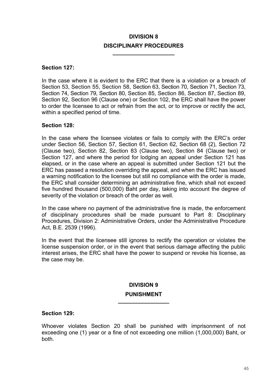## **DIVISION 8 DISCIPLINARY PROCEDURES**

**\_\_\_\_\_\_\_\_\_\_\_\_\_\_\_\_\_\_\_\_** 

#### **Section 127:**

In the case where it is evident to the ERC that there is a violation or a breach of Section 53, Section 55, Section 58, Section 63, Section 70, Section 71, Section 73, Section 74, Section 79, Section 80, Section 85, Section 86, Section 87, Section 89, Section 92, Section 96 (Clause one) or Section 102, the ERC shall have the power to order the licensee to act or refrain from the act, or to improve or rectify the act, within a specified period of time.

#### **Section 128:**

In the case where the licensee violates or fails to comply with the ERC's order under Section 56, Section 57, Section 61, Section 62, Section 68 (2), Section 72 (Clause two), Section 82, Section 83 (Clause two), Section 84 (Clause two) or Section 127, and where the period for lodging an appeal under Section 121 has elapsed, or in the case where an appeal is submitted under Section 121 but the ERC has passed a resolution overriding the appeal, and when the ERC has issued a warning notification to the licensee but still no compliance with the order is made, the ERC shall consider determining an administrative fine, which shall not exceed five hundred thousand (500,000) Baht per day, taking into account the degree of severity of the violation or breach of the order as well.

In the case where no payment of the administrative fine is made, the enforcement of disciplinary procedures shall be made pursuant to Part 8: Disciplinary Procedures, Division 2: Administrative Orders, under the Administrative Procedure Act, B.E. 2539 (1996).

In the event that the licensee still ignores to rectify the operation or violates the license suspension order, or in the event that serious damage affecting the public interest arises, the ERC shall have the power to suspend or revoke his license, as the case may be.

## **DIVISION 9 PUNISHMENT**

**\_\_\_\_\_\_\_\_\_\_\_\_\_\_\_\_\_** 

#### **Section 129:**

Whoever violates Section 20 shall be punished with imprisonment of not exceeding one (1) year or a fine of not exceeding one million (1,000,000) Baht, or both.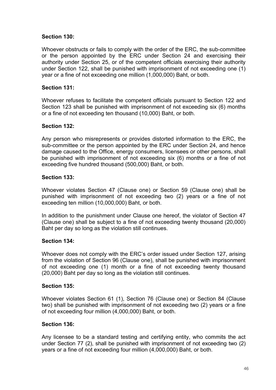## **Section 130:**

Whoever obstructs or fails to comply with the order of the ERC, the sub-committee or the person appointed by the ERC under Section 24 and exercising their authority under Section 25, or of the competent officials exercising their authority under Section 122, shall be punished with imprisonment of not exceeding one (1) year or a fine of not exceeding one million (1,000,000) Baht, or both.

## **Section 131:**

Whoever refuses to facilitate the competent officials pursuant to Section 122 and Section 123 shall be punished with imprisonment of not exceeding six (6) months or a fine of not exceeding ten thousand (10,000) Baht, or both.

## **Section 132:**

Any person who misrepresents or provides distorted information to the ERC, the sub-committee or the person appointed by the ERC under Section 24, and hence damage caused to the Office, energy consumers, licensees or other persons, shall be punished with imprisonment of not exceeding six (6) months or a fine of not exceeding five hundred thousand (500,000) Baht, or both.

## **Section 133:**

Whoever violates Section 47 (Clause one) or Section 59 (Clause one) shall be punished with imprisonment of not exceeding two (2) years or a fine of not exceeding ten million (10,000,000) Baht, or both.

In addition to the punishment under Clause one hereof, the violator of Section 47 (Clause one) shall be subject to a fine of not exceeding twenty thousand (20,000) Baht per day so long as the violation still continues.

## **Section 134:**

Whoever does not comply with the ERC's order issued under Section 127, arising from the violation of Section 96 (Clause one), shall be punished with imprisonment of not exceeding one (1) month or a fine of not exceeding twenty thousand (20,000) Baht per day so long as the violation still continues.

## **Section 135:**

Whoever violates Section 61 (1), Section 76 (Clause one) or Section 84 (Clause two) shall be punished with imprisonment of not exceeding two (2) years or a fine of not exceeding four million (4,000,000) Baht, or both.

## **Section 136:**

Any licensee to be a standard testing and certifying entity, who commits the act under Section 77 (2), shall be punished with imprisonment of not exceeding two (2) years or a fine of not exceeding four million (4,000,000) Baht, or both.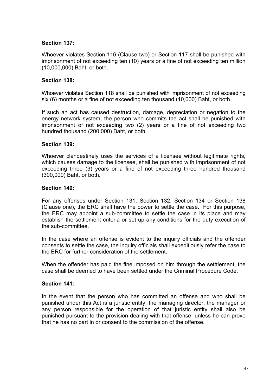## **Section 137:**

Whoever violates Section 116 (Clause two) or Section 117 shall be punished with imprisonment of not exceeding ten (10) years or a fine of not exceeding ten million (10,000,000) Baht, or both.

## **Section 138:**

Whoever violates Section 118 shall be punished with imprisonment of not exceeding six (6) months or a fine of not exceeding ten thousand (10,000) Baht, or both.

If such an act has caused destruction, damage, depreciation or negation to the energy network system, the person who commits the act shall be punished with imprisonment of not exceeding two (2) years or a fine of not exceeding two hundred thousand (200,000) Baht, or both.

## **Section 139:**

Whoever clandestinely uses the services of a licensee without legitimate rights, which causes damage to the licensee, shall be punished with imprisonment of not exceeding three (3) years or a fine of not exceeding three hundred thousand (300,000) Baht, or both.

## **Section 140:**

For any offenses under Section 131, Section 132, Section 134 or Section 138 (Clause one), the ERC shall have the power to settle the case. For this purpose, the ERC may appoint a sub-committee to settle the case in its place and may establish the settlement criteria or set up any conditions for the duty execution of the sub-committee.

In the case where an offense is evident to the inquiry officials and the offender consents to settle the case, the inquiry officials shall expeditiously refer the case to the ERC for further consideration of the settlement.

When the offender has paid the fine imposed on him through the setttlement, the case shall be deemed to have been settled under the Criminal Procedure Code.

## **Section 141:**

In the event that the person who has committed an offense and who shall be punished under this Act is a juristic entity, the managing director, the manager or any person responsible for the operation of that juristic entity shall also be punished pursuant to the provision dealing with that offense, unless he can prove that he has no part in or consent to the commission of the offense.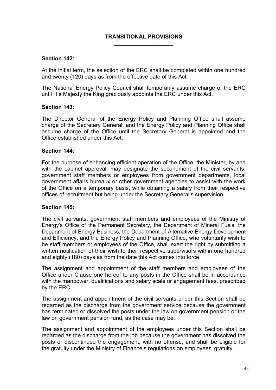#### **TRANSITIONAL PROVISIONS \_\_\_\_\_\_\_\_\_\_\_\_\_\_\_\_\_\_\_**

#### **Section 142:**

At the initial term, the selection of the ERC shall be completed within one hundred and twenty (120) days as from the effective date of this Act.

The National Energy Policy Council shall temporarily assume charge of the ERC until His Majesty the King graciously appoints the ERC under this Act.

#### **Section 143:**

The Director General of the Energy Policy and Planning Office shall assume charge of the Secretary General, and the Energy Policy and Planning Office shall assume charge of the Office until the Secretary General is appointed and the Office established under this Act.

#### **Section 144:**

For the purpose of enhancing efficient operation of the Office, the Minister, by and with the cabinet approval, may designate the secondment of the civil servants, government staff members or employees from government departments, local government affairs bureaux or other government agencies to assist with the work of the Office on a temporary basis, while obtaining a salary from their respective offices of recruitment but being under the Secretary General's supervision.

#### **Section 145:**

The civil servants, government staff members and employees of the Ministry of Energy's Office of the Permanent Secretary, the Department of Mineral Fuels, the Department of Energy Business, the Department of Alternative Energy Development and Efficiency, and the Energy Policy and Planning Office, who voluntarily wish to be staff members or employees of the Office, shall exert the right by submitting a written notification of their wish to their respective supervisors within one hundred and eighty (180) days as from the date this Act comes into force.

The assignment and appointment of the staff members and employees of the Office under Clause one hereof to any posts in the Office shall be in accordance with the manpower, qualifications and salary scale or engagement fees, prescribed by the ERC.

The assignment and appointment of the civil servants under this Section shall be regarded as the discharge from the government service because the government has terminated or dissolved the posts under the law on government pension or the law on government pension fund, as the case may be.

The assignment and appointment of the employees under this Section shall be regarded as the discharge from the job because the government has dissolved the posts or discontinued the engagement, with no offense, and shall be eligible for the gratuity under the Ministry of Finance's regulations on employees' gratuity.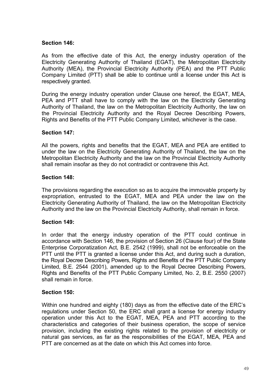## **Section 146:**

As from the effective date of this Act, the energy industry operation of the Electricity Generating Authority of Thailand (EGAT), the Metropolitan Electricity Authority (MEA), the Provincial Electricity Authority (PEA) and the PTT Public Company Limited (PTT) shall be able to continue until a license under this Act is respectively granted.

During the energy industry operation under Clause one hereof, the EGAT, MEA, PEA and PTT shall have to comply with the law on the Electricity Generating Authority of Thailand, the law on the Metropolitan Electricity Authority, the law on the Provincial Electricity Authority and the Royal Decree Describing Powers, Rights and Benefits of the PTT Public Company Limited, whichever is the case.

#### **Section 147:**

All the powers, rights and benefits that the EGAT, MEA and PEA are entitled to under the law on the Electricity Generating Authority of Thailand, the law on the Metropolitan Electricity Authority and the law on the Provincial Electricity Authority shall remain insofar as they do not contradict or contravene this Act.

#### **Section 148:**

The provisions regarding the execution so as to acquire the immovable property by expropriation, entrusted to the EGAT, MEA and PEA under the law on the Electricity Generating Authority of Thailand, the law on the Metropolitan Electricity Authority and the law on the Provincial Electricity Authority, shall remain in force.

## **Section 149:**

In order that the energy industry operation of the PTT could continue in accordance with Section 146, the provision of Section 26 (Clause four) of the State Enterprise Corporatization Act, B.E. 2542 (1999), shall not be enforceable on the PTT until the PTT is granted a license under this Act, and during such a duration, the Royal Decree Describing Powers, Rights and Benefits of the PTT Public Company Limited, B.E. 2544 (2001), amended up to the Royal Decree Describing Powers, Rights and Benefits of the PTT Public Company Limited, No. 2, B.E. 2550 (2007) shall remain in force.

#### **Section 150:**

Within one hundred and eighty (180) days as from the effective date of the ERC's regulations under Section 50, the ERC shall grant a license for energy industry operation under this Act to the EGAT, MEA, PEA and PTT according to the characteristics and categories of their business operation, the scope of service provision, including the existing rights related to the provision of electricity or natural gas services, as far as the responsibilities of the EGAT, MEA, PEA and PTT are concerned as at the date on which this Act comes into force.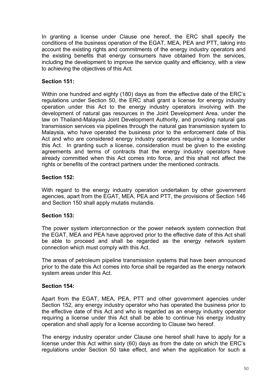In granting a license under Clause one hereof, the ERC shall specify the conditions of the business operation of the EGAT, MEA, PEA and PTT, taking into account the existing rights and commitments of the energy industry operators and the existing benefits that energy consumers have obtained from the services, including the development to improve the service quality and efficiency, with a view to achieving the objectives of this Act.

## **Section 151:**

Within one hundred and eighty (180) days as from the effective date of the ERC's regulations under Section 50, the ERC shall grant a license for energy industry operation under this Act to the energy industry operators involving with the development of natural gas resources in the Joint Development Area, under the law on Thailand-Malaysia Joint Development Authority, and providing natural gas transmission services via pipelines through the natural gas transmission system to Malaysia, who have operated the business prior to the enforcement date of this Act and who are considered energy industry operators requiring a license under this Act. In granting such a license, consideration must be given to the existing agreements and terms of contracts that the energy industry operators have already committed when this Act comes into force, and this shall not affect the rights or benefits of the contract partners under the mentioned contracts.

## **Section 152:**

With regard to the energy industry operation undertaken by other government agencies, apart from the EGAT, MEA, PEA and PTT, the provisions of Section 146 and Section 150 shall apply mutatis mutandis.

## **Section 153:**

The power system interconnection or the power network system connection that the EGAT, MEA and PEA have approved prior to the effective date of this Act shall be able to proceed and shall be regarded as the energy network system connection which must comply with this Act.

The areas of petroleum pipeline transmission systems that have been announced prior to the date this Act comes into force shall be regarded as the energy network system areas under this Act.

## **Section 154:**

Apart from the EGAT, MEA, PEA, PTT and other government agencies under Section 152, any energy industry operator who has operated the business prior to the effective date of this Act and who is regarded as an energy industry operator requiring a license under this Act shall be able to continue his energy industry operation and shall apply for a license according to Clause two hereof.

The energy industry operator under Clause one hereof shall have to apply for a license under this Act within sixty (60) days as from the date on which the ERC's regulations under Section 50 take effect, and when the application for such a